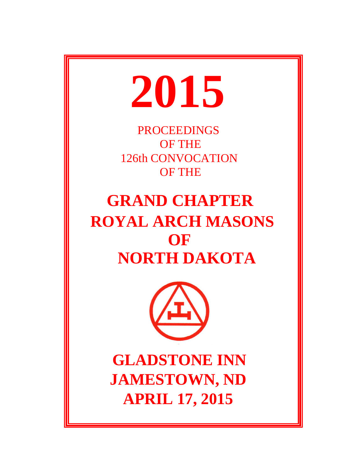

**PROCEEDINGS** OF THE 126th CONVOCATION OF THE

# **GRAND CHAPTER ROYAL ARCH MASONS OF NORTH DAKOTA**



 **GLADSTONE INN JAMESTOWN, ND APRIL 17, 2015**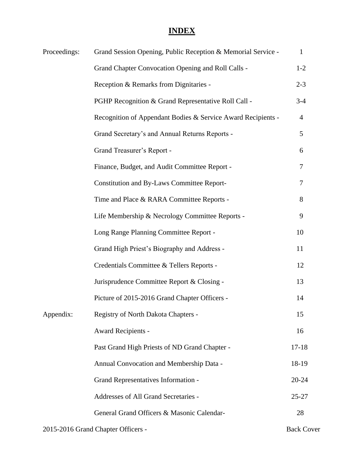# **INDEX**

| Proceedings: | Grand Session Opening, Public Reception & Memorial Service - | $\mathbf{1}$      |
|--------------|--------------------------------------------------------------|-------------------|
|              | Grand Chapter Convocation Opening and Roll Calls -           | $1 - 2$           |
|              | Reception & Remarks from Dignitaries -                       | $2 - 3$           |
|              | PGHP Recognition & Grand Representative Roll Call -          | $3-4$             |
|              | Recognition of Appendant Bodies & Service Award Recipients - | $\overline{4}$    |
|              | Grand Secretary's and Annual Returns Reports -               | 5                 |
|              | Grand Treasurer's Report -                                   | 6                 |
|              | Finance, Budget, and Audit Committee Report -                | 7                 |
|              | <b>Constitution and By-Laws Committee Report-</b>            | 7                 |
|              | Time and Place & RARA Committee Reports -                    | 8                 |
|              | Life Membership & Necrology Committee Reports -              | 9                 |
|              | Long Range Planning Committee Report -                       | 10                |
|              | Grand High Priest's Biography and Address -                  | 11                |
|              | Credentials Committee & Tellers Reports -                    | 12                |
|              | Jurisprudence Committee Report & Closing -                   | 13                |
|              | Picture of 2015-2016 Grand Chapter Officers -                | 14                |
| Appendix:    | Registry of North Dakota Chapters -                          | 15                |
|              | Award Recipients -                                           | 16                |
|              | Past Grand High Priests of ND Grand Chapter -                | $17 - 18$         |
|              | Annual Convocation and Membership Data -                     | 18-19             |
|              | Grand Representatives Information -                          | $20 - 24$         |
|              | Addresses of All Grand Secretaries -                         | $25 - 27$         |
|              | General Grand Officers & Masonic Calendar-                   | 28                |
|              | 2015-2016 Grand Chapter Officers -                           | <b>Back Cover</b> |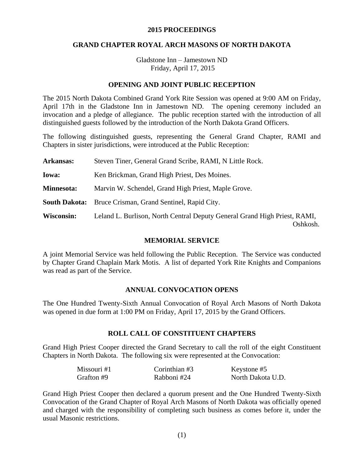#### **2015 PROCEEDINGS**

#### **GRAND CHAPTER ROYAL ARCH MASONS OF NORTH DAKOTA**

Gladstone Inn – Jamestown ND Friday, April 17, 2015

#### **OPENING AND JOINT PUBLIC RECEPTION**

The 2015 North Dakota Combined Grand York Rite Session was opened at 9:00 AM on Friday, April 17th in the Gladstone Inn in Jamestown ND. The opening ceremony included an invocation and a pledge of allegiance. The public reception started with the introduction of all distinguished guests followed by the introduction of the North Dakota Grand Officers.

The following distinguished guests, representing the General Grand Chapter, RAMI and Chapters in sister jurisdictions, were introduced at the Public Reception:

| <b>Arkansas:</b> | Steven Tiner, General Grand Scribe, RAMI, N Little Rock.                              |
|------------------|---------------------------------------------------------------------------------------|
| <b>Iowa:</b>     | Ken Brickman, Grand High Priest, Des Moines.                                          |
| Minnesota:       | Marvin W. Schendel, Grand High Priest, Maple Grove.                                   |
|                  | <b>South Dakota:</b> Bruce Crisman, Grand Sentinel, Rapid City.                       |
| Wisconsin:       | Leland L. Burlison, North Central Deputy General Grand High Priest, RAMI,<br>Oshkosh. |

#### **MEMORIAL SERVICE**

A joint Memorial Service was held following the Public Reception. The Service was conducted by Chapter Grand Chaplain Mark Motis. A list of departed York Rite Knights and Companions was read as part of the Service.

#### **ANNUAL CONVOCATION OPENS**

The One Hundred Twenty-Sixth Annual Convocation of Royal Arch Masons of North Dakota was opened in due form at 1:00 PM on Friday, April 17, 2015 by the Grand Officers.

#### **ROLL CALL OF CONSTITUENT CHAPTERS**

Grand High Priest Cooper directed the Grand Secretary to call the roll of the eight Constituent Chapters in North Dakota. The following six were represented at the Convocation:

| Missouri #1 | Corinthian $#3$ | Keystone #5       |
|-------------|-----------------|-------------------|
| Grafton #9  | Rabboni #24     | North Dakota U.D. |

Grand High Priest Cooper then declared a quorum present and the One Hundred Twenty-Sixth Convocation of the Grand Chapter of Royal Arch Masons of North Dakota was officially opened and charged with the responsibility of completing such business as comes before it, under the usual Masonic restrictions.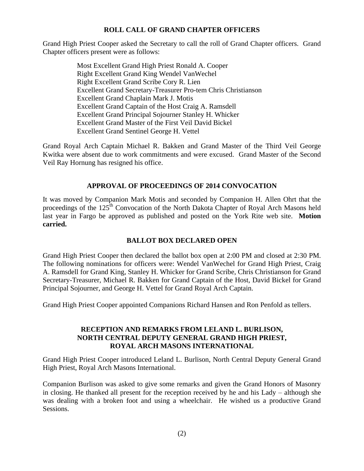#### **ROLL CALL OF GRAND CHAPTER OFFICERS**

Grand High Priest Cooper asked the Secretary to call the roll of Grand Chapter officers. Grand Chapter officers present were as follows:

> Most Excellent Grand High Priest Ronald A. Cooper Right Excellent Grand King Wendel VanWechel Right Excellent Grand Scribe Cory R. Lien Excellent Grand Secretary-Treasurer Pro-tem Chris Christianson Excellent Grand Chaplain Mark J. Motis Excellent Grand Captain of the Host Craig A. Ramsdell Excellent Grand Principal Sojourner Stanley H. Whicker Excellent Grand Master of the First Veil David Bickel Excellent Grand Sentinel George H. Vettel

Grand Royal Arch Captain Michael R. Bakken and Grand Master of the Third Veil George Kwitka were absent due to work commitments and were excused. Grand Master of the Second Veil Ray Hornung has resigned his office.

#### **APPROVAL OF PROCEEDINGS OF 2014 CONVOCATION**

It was moved by Companion Mark Motis and seconded by Companion H. Allen Ohrt that the proceedings of the 125<sup>th</sup> Convocation of the North Dakota Chapter of Royal Arch Masons held last year in Fargo be approved as published and posted on the York Rite web site. **Motion carried.**

# **BALLOT BOX DECLARED OPEN**

Grand High Priest Cooper then declared the ballot box open at 2:00 PM and closed at 2:30 PM. The following nominations for officers were: Wendel VanWechel for Grand High Priest, Craig A. Ramsdell for Grand King, Stanley H. Whicker for Grand Scribe, Chris Christianson for Grand Secretary-Treasurer, Michael R. Bakken for Grand Captain of the Host, David Bickel for Grand Principal Sojourner, and George H. Vettel for Grand Royal Arch Captain.

Grand High Priest Cooper appointed Companions Richard Hansen and Ron Penfold as tellers.

#### **RECEPTION AND REMARKS FROM LELAND L. BURLISON, NORTH CENTRAL DEPUTY GENERAL GRAND HIGH PRIEST, ROYAL ARCH MASONS INTERNATIONAL**

Grand High Priest Cooper introduced Leland L. Burlison, North Central Deputy General Grand High Priest, Royal Arch Masons International.

Companion Burlison was asked to give some remarks and given the Grand Honors of Masonry in closing. He thanked all present for the reception received by he and his Lady – although she was dealing with a broken foot and using a wheelchair. He wished us a productive Grand Sessions.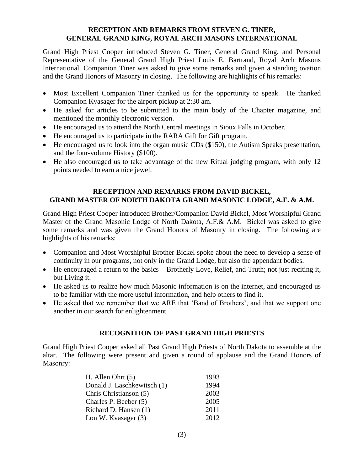#### **RECEPTION AND REMARKS FROM STEVEN G. TINER, GENERAL GRAND KING, ROYAL ARCH MASONS INTERNATIONAL**

Grand High Priest Cooper introduced Steven G. Tiner, General Grand King, and Personal Representative of the General Grand High Priest Louis E. Bartrand, Royal Arch Masons International. Companion Tiner was asked to give some remarks and given a standing ovation and the Grand Honors of Masonry in closing. The following are highlights of his remarks:

- Most Excellent Companion Tiner thanked us for the opportunity to speak. He thanked Companion Kvasager for the airport pickup at 2:30 am.
- He asked for articles to be submitted to the main body of the Chapter magazine, and mentioned the monthly electronic version.
- He encouraged us to attend the North Central meetings in Sioux Falls in October.
- He encouraged us to participate in the RARA Gift for Gift program.
- He encouraged us to look into the organ music CDs (\$150), the Autism Speaks presentation, and the four-volume History (\$100).
- He also encouraged us to take advantage of the new Ritual judging program, with only 12 points needed to earn a nice jewel.

## **RECEPTION AND REMARKS FROM DAVID BICKEL, GRAND MASTER OF NORTH DAKOTA GRAND MASONIC LODGE, A.F. & A.M.**

Grand High Priest Cooper introduced Brother/Companion David Bickel, Most Worshipful Grand Master of the Grand Masonic Lodge of North Dakota, A.F.& A.M. Bickel was asked to give some remarks and was given the Grand Honors of Masonry in closing. The following are highlights of his remarks:

- Companion and Most Worshipful Brother Bickel spoke about the need to develop a sense of continuity in our programs, not only in the Grand Lodge, but also the appendant bodies.
- He encouraged a return to the basics Brotherly Love, Relief, and Truth; not just reciting it, but Living it.
- He asked us to realize how much Masonic information is on the internet, and encouraged us to be familiar with the more useful information, and help others to find it.
- He asked that we remember that we ARE that 'Band of Brothers', and that we support one another in our search for enlightenment.

# **RECOGNITION OF PAST GRAND HIGH PRIESTS**

Grand High Priest Cooper asked all Past Grand High Priests of North Dakota to assemble at the altar. The following were present and given a round of applause and the Grand Honors of Masonry:

| H. Allen Ohrt $(5)$         | 1993 |
|-----------------------------|------|
| Donald J. Laschkewitsch (1) | 1994 |
| Chris Christianson (5)      | 2003 |
| Charles P. Beeber (5)       | 2005 |
| Richard D. Hansen (1)       | 2011 |
| Lon W. Kvasager (3)         | 2012 |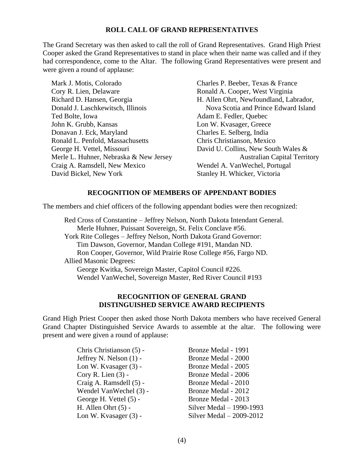#### **ROLL CALL OF GRAND REPRESENTATIVES**

The Grand Secretary was then asked to call the roll of Grand Representatives. Grand High Priest Cooper asked the Grand Representatives to stand in place when their name was called and if they had correspondence, come to the Altar. The following Grand Representatives were present and were given a round of applause:

Mark J. Motis, Colorado Charles P. Beeber, Texas & France Cory R. Lien, Delaware Ronald A. Cooper, West Virginia Richard D. Hansen, Georgia H. Allen Ohrt, Newfoundland, Labrador, Donald J. Laschkewitsch, Illinois Nova Scotia and Prince Edward Island Ted Bolte, Iowa **Adam E. Fedler**, Ouebec John K. Grubb, Kansas Lon W. Kvasager, Greece Donavan J. Eck, Maryland Charles E. Selberg, India Ronald L. Penfold, Massachusetts Chris Christianson, Mexico George H. Vettel, Missouri David U. Collins, New South Wales & Craig A. Ramsdell, New Mexico Wendel A. VanWechel, Portugal David Bickel, New York Stanley H. Whicker, Victoria

Merle L. Huhner, Nebraska & New Jersey Australian Capital Territory

#### **RECOGNITION OF MEMBERS OF APPENDANT BODIES**

The members and chief officers of the following appendant bodies were then recognized:

Red Cross of Constantine – Jeffrey Nelson, North Dakota Intendant General. Merle Huhner, Puissant Sovereign, St. Felix Conclave #56. York Rite Colleges – Jeffrey Nelson, North Dakota Grand Governor: Tim Dawson, Governor, Mandan College #191, Mandan ND. Ron Cooper, Governor, Wild Prairie Rose College #56, Fargo ND. Allied Masonic Degrees: George Kwitka, Sovereign Master, Capitol Council #226. Wendel VanWechel, Sovereign Master, Red River Council #193

#### **RECOGNITION OF GENERAL GRAND DISTINGUISHED SERVICE AWARD RECIPIENTS**

Grand High Priest Cooper then asked those North Dakota members who have received General Grand Chapter Distinguished Service Awards to assemble at the altar. The following were present and were given a round of applause:

| Chris Christianson (5) - | Bronze Medal - 1991       |
|--------------------------|---------------------------|
| Jeffrey N. Nelson (1) -  | Bronze Medal - 2000       |
| Lon W. Kvasager (3) -    | Bronze Medal - 2005       |
| $Cory R. Lien (3) -$     | Bronze Medal - 2006       |
| Craig A. Ramsdell (5) -  | Bronze Medal - 2010       |
| Wendel VanWechel (3) -   | Bronze Medal - 2012       |
| George H. Vettel (5) -   | Bronze Medal - 2013       |
| H. Allen Ohrt $(5)$ -    | Silver Medal - 1990-1993  |
| Lon W. Kvasager (3) -    | Silver Medal $-2009-2012$ |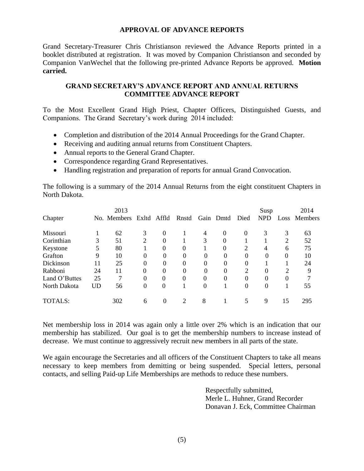#### **APPROVAL OF ADVANCE REPORTS**

Grand Secretary-Treasurer Chris Christianson reviewed the Advance Reports printed in a booklet distributed at registration. It was moved by Companion Christianson and seconded by Companion VanWechel that the following pre-printed Advance Reports be approved. **Motion carried.**

## **GRAND SECRETARY'S ADVANCE REPORT AND ANNUAL RETURNS COMMITTEE ADVANCE REPORT**

To the Most Excellent Grand High Priest, Chapter Officers, Distinguished Guests, and Companions. The Grand Secretary's work during 2014 included:

- Completion and distribution of the 2014 Annual Proceedings for the Grand Chapter.
- Receiving and auditing annual returns from Constituent Chapters.
- Annual reports to the General Grand Chapter.
- Correspondence regarding Grand Representatives.
- Handling registration and preparation of reports for annual Grand Convocation.

The following is a summary of the 2014 Annual Returns from the eight constituent Chapters in North Dakota.

| Chapter       |           | 2013<br>No. Members |                | Exltd Affld | Rnstd    |          | Gain Dmtd | Died          | Susp<br><b>NPD</b> | Loss     | 2014<br><b>Members</b> |
|---------------|-----------|---------------------|----------------|-------------|----------|----------|-----------|---------------|--------------------|----------|------------------------|
| Missouri      |           | 62                  | 3              | $\Omega$    |          | 4        | $\Omega$  | $\theta$      | 3                  | 3        | 63                     |
| Corinthian    | 3         | 51                  | $\overline{2}$ | $\Omega$    |          | 3        | $\Omega$  |               |                    | 2        | 52                     |
| Keystone      | 5         | 80                  |                | $\theta$    | 0        |          | $\Omega$  | 2             | 4                  | 6        | 75                     |
| Grafton       | 9         | 10                  | 0              | $\Omega$    | 0        | $\Omega$ | 0         | $\Omega$      | 0                  | 0        | 10                     |
| Dickinson     | 11        | 25                  | $\theta$       | $\Omega$    | 0        | $\Omega$ | $\Omega$  | $\Omega$      |                    |          | 24                     |
| Rabboni       | 24        | 11                  | $\Omega$       | $\Omega$    | 0        | $\Omega$ | $\Omega$  | $\mathcal{L}$ | 0                  | 2        | 9                      |
| Land O'Buttes | 25        | 7                   | $\Omega$       | $\Omega$    | $\theta$ | $\Omega$ | $\Omega$  | $\Omega$      | 0                  | $\theta$ |                        |
| North Dakota  | <b>UD</b> | 56                  | 0              | $\Omega$    |          | $\theta$ |           | $\Omega$      | 0                  |          | 55                     |
| TOTALS:       |           | 302                 | 6              | $\Omega$    | 2        | 8        |           |               | 9                  | 15       | 295                    |

Net membership loss in 2014 was again only a little over 2% which is an indication that our membership has stabilized. Our goal is to get the membership numbers to increase instead of decrease. We must continue to aggressively recruit new members in all parts of the state.

We again encourage the Secretaries and all officers of the Constituent Chapters to take all means necessary to keep members from demitting or being suspended. Special letters, personal contacts, and selling Paid-up Life Memberships are methods to reduce these numbers.

> Respectfully submitted, Merle L. Huhner, Grand Recorder Donavan J. Eck, Committee Chairman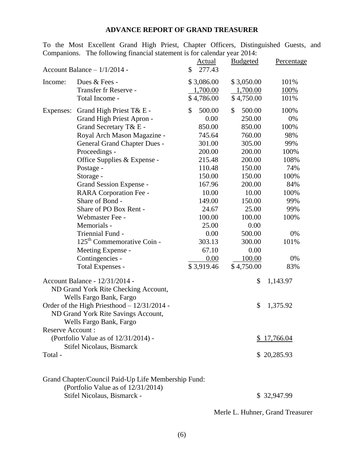# **ADVANCE REPORT OF GRAND TREASURER**

To the Most Excellent Grand High Priest, Chapter Officers, Distinguished Guests, and Companions. The following financial statement is for calendar year 2014:

|                                  | Account Balance $-1/1/2014$ -                                                             | Actual<br>277.43<br>\$ | <b>Budgeted</b> | Percentage  |
|----------------------------------|-------------------------------------------------------------------------------------------|------------------------|-----------------|-------------|
| Income:                          | Dues & Fees -                                                                             | \$3,086.00             | \$3,050.00      | 101%        |
|                                  | Transfer fr Reserve -                                                                     | 1,700.00               | 1,700.00        | 100%        |
|                                  | Total Income -                                                                            | \$4,786.00             | \$4,750.00      | 101%        |
| Expenses:                        | Grand High Priest T& E -                                                                  | \$<br>500.00           | \$<br>500.00    | 100%        |
|                                  | Grand High Priest Apron -                                                                 | 0.00                   | 250.00          | 0%          |
|                                  | Grand Secretary T& E -                                                                    | 850.00                 | 850.00          | 100%        |
|                                  | Royal Arch Mason Magazine -                                                               | 745.64                 | 760.00          | 98%         |
|                                  | <b>General Grand Chapter Dues -</b>                                                       | 301.00                 | 305.00          | 99%         |
|                                  | Proceedings -                                                                             | 200.00                 | 200.00          | 100%        |
|                                  | Office Supplies & Expense -                                                               | 215.48                 | 200.00          | 108%        |
|                                  | Postage -                                                                                 | 110.48                 | 150.00          | 74%         |
|                                  | Storage -                                                                                 | 150.00                 | 150.00          | 100%        |
|                                  | Grand Session Expense -                                                                   | 167.96                 | 200.00          | 84%         |
|                                  | RARA Corporation Fee -                                                                    | 10.00                  | 10.00           | 100%        |
|                                  | Share of Bond -                                                                           | 149.00                 | 150.00          | 99%         |
|                                  | Share of PO Box Rent -                                                                    | 24.67                  | 25.00           | 99%         |
|                                  | Webmaster Fee -                                                                           | 100.00                 | 100.00          | 100%        |
|                                  | Memorials -                                                                               | 25.00                  | 0.00            |             |
|                                  | Triennial Fund -                                                                          | 0.00                   | 500.00          | 0%          |
|                                  | 125 <sup>th</sup> Commemorative Coin -                                                    | 303.13                 | 300.00          | 101%        |
|                                  | Meeting Expense -                                                                         | 67.10                  | 0.00            |             |
|                                  | Contingencies -                                                                           | 0.00                   | 100.00          | 0%          |
|                                  | <b>Total Expenses -</b>                                                                   | \$3,919.46             | \$4,750.00      | 83%         |
|                                  | Account Balance - 12/31/2014 -                                                            |                        | \$              | 1,143.97    |
|                                  | ND Grand York Rite Checking Account,                                                      |                        |                 |             |
|                                  | Wells Fargo Bank, Fargo                                                                   |                        |                 |             |
|                                  | Order of the High Priesthood - 12/31/2014 -                                               |                        | \$              | 1,375.92    |
|                                  | ND Grand York Rite Savings Account,                                                       |                        |                 |             |
|                                  | Wells Fargo Bank, Fargo                                                                   |                        |                 |             |
| <b>Reserve Account:</b>          |                                                                                           |                        |                 |             |
|                                  | (Portfolio Value as of 12/31/2014) -                                                      |                        |                 | 17,766.04   |
| <b>Stifel Nicolaus, Bismarck</b> |                                                                                           |                        |                 |             |
| Total -                          |                                                                                           |                        |                 | \$20,285.93 |
|                                  |                                                                                           |                        |                 |             |
|                                  | Grand Chapter/Council Paid-Up Life Membership Fund:<br>(Portfolio Value as of 12/31/2014) |                        |                 |             |
|                                  | Stifel Nicolaus, Bismarck -                                                               |                        |                 | \$32,947.99 |
|                                  |                                                                                           |                        |                 |             |

Merle L. Huhner, Grand Treasurer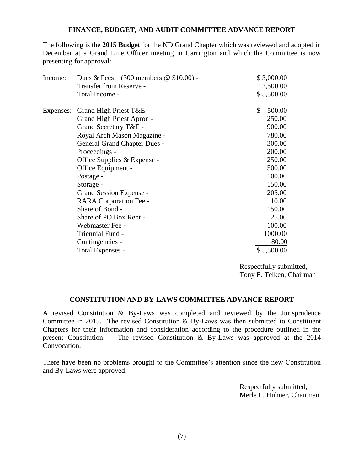#### **FINANCE, BUDGET, AND AUDIT COMMITTEE ADVANCE REPORT**

The following is the **2015 Budget** for the ND Grand Chapter which was reviewed and adopted in December at a Grand Line Officer meeting in Carrington and which the Committee is now presenting for approval:

| Income:   | Dues & Fees $-$ (300 members @ \$10.00) - | \$3,000.00   |
|-----------|-------------------------------------------|--------------|
|           | <b>Transfer from Reserve -</b>            | 2,500.00     |
|           | Total Income -                            | \$5,500.00   |
| Expenses: | Grand High Priest T&E -                   | \$<br>500.00 |
|           | Grand High Priest Apron -                 | 250.00       |
|           | Grand Secretary T&E -                     | 900.00       |
|           | Royal Arch Mason Magazine -               | 780.00       |
|           | <b>General Grand Chapter Dues -</b>       | 300.00       |
|           | Proceedings -                             | 200.00       |
|           | Office Supplies & Expense -               | 250.00       |
|           | Office Equipment -                        | 500.00       |
|           | Postage -                                 | 100.00       |
|           | Storage -                                 | 150.00       |
|           | Grand Session Expense -                   | 205.00       |
|           | RARA Corporation Fee -                    | 10.00        |
|           | Share of Bond -                           | 150.00       |
|           | Share of PO Box Rent -                    | 25.00        |
|           | Webmaster Fee -                           | 100.00       |
|           | Triennial Fund -                          | 1000.00      |
|           | Contingencies -                           | 80.00        |
|           | Total Expenses -                          | \$5,500.00   |
|           |                                           |              |

Respectfully submitted, Tony E. Telken, Chairman

#### **CONSTITUTION AND BY-LAWS COMMITTEE ADVANCE REPORT**

A revised Constitution & By-Laws was completed and reviewed by the Jurisprudence Committee in 2013. The revised Constitution & By-Laws was then submitted to Constituent Chapters for their information and consideration according to the procedure outlined in the present Constitution. The revised Constitution & By-Laws was approved at the 2014 The revised Constitution & By-Laws was approved at the 2014 Convocation.

There have been no problems brought to the Committee's attention since the new Constitution and By-Laws were approved.

> Respectfully submitted, Merle L. Huhner, Chairman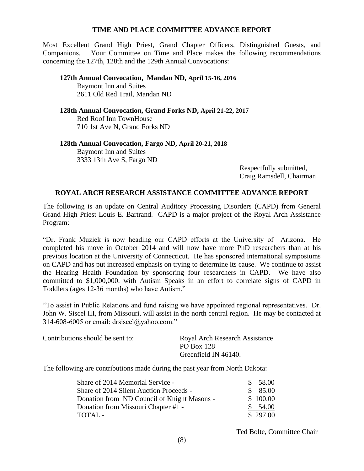#### **TIME AND PLACE COMMITTEE ADVANCE REPORT**

Most Excellent Grand High Priest, Grand Chapter Officers, Distinguished Guests, and Companions. Your Committee on Time and Place makes the following recommendations concerning the 127th, 128th and the 129th Annual Convocations:

**127th Annual Convocation, Mandan ND, April 15-16, 2016** Baymont Inn and Suites 2611 Old Red Trail, Mandan ND

**128th Annual Convocation, Grand Forks ND, April 21-22, 2017** Red Roof Inn TownHouse 710 1st Ave N, Grand Forks ND

**128th Annual Convocation, Fargo ND, April 20-21, 2018**  Baymont Inn and Suites 3333 13th Ave S, Fargo ND

> Respectfully submitted, Craig Ramsdell, Chairman

#### **ROYAL ARCH RESEARCH ASSISTANCE COMMITTEE ADVANCE REPORT**

The following is an update on Central Auditory Processing Disorders (CAPD) from General Grand High Priest Louis E. Bartrand. CAPD is a major project of the Royal Arch Assistance Program:

"Dr. Frank Muziek is now heading our CAPD efforts at the University of Arizona. He completed his move in October 2014 and will now have more PhD researchers than at his previous location at the University of Connecticut. He has sponsored international symposiums on CAPD and has put increased emphasis on trying to determine its cause. We continue to assist the Hearing Health Foundation by sponsoring four researchers in CAPD. We have also committed to \$1,000,000. with Autism Speaks in an effort to correlate signs of CAPD in Toddlers (ages 12-36 months) who have Autism."

"To assist in Public Relations and fund raising we have appointed regional representatives. Dr. John W. Siscel III, from Missouri, will assist in the north central region. He may be contacted at 314-608-6005 or email: drsiscel@yahoo.com."

| Contributions should be sent to: | Royal Arch Research Assistance |
|----------------------------------|--------------------------------|
|                                  | PO Box 128                     |
|                                  | Greenfield IN 46140.           |

The following are contributions made during the past year from North Dakota:

| \$85.00  |
|----------|
| \$100.00 |
| \$54.00  |
| \$297.00 |
|          |

Ted Bolte, Committee Chair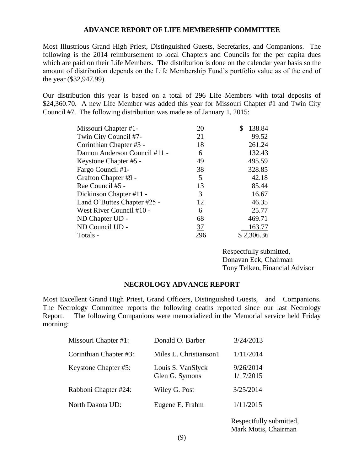#### **ADVANCE REPORT OF LIFE MEMBERSHIP COMMITTEE**

Most Illustrious Grand High Priest, Distinguished Guests, Secretaries, and Companions. The following is the 2014 reimbursement to local Chapters and Councils for the per capita dues which are paid on their Life Members. The distribution is done on the calendar year basis so the amount of distribution depends on the Life Membership Fund's portfolio value as of the end of the year (\$32,947.99).

Our distribution this year is based on a total of 296 Life Members with total deposits of \$24,360.70. A new Life Member was added this year for Missouri Chapter #1 and Twin City Council #7. The following distribution was made as of January 1, 2015:

| Missouri Chapter #1-         | 20  | 138.84     |
|------------------------------|-----|------------|
| Twin City Council #7-        | 21  | 99.52      |
| Corinthian Chapter #3 -      | 18  | 261.24     |
| Damon Anderson Council #11 - | 6   | 132.43     |
| Keystone Chapter #5 -        | 49  | 495.59     |
| Fargo Council #1-            | 38  | 328.85     |
| Grafton Chapter #9 -         | 5   | 42.18      |
| Rae Council #5 -             | 13  | 85.44      |
| Dickinson Chapter #11 -      | 3   | 16.67      |
| Land O'Buttes Chapter #25 -  | 12  | 46.35      |
| West River Council #10 -     | 6   | 25.77      |
| ND Chapter UD -              | 68  | 469.71     |
| ND Council UD -              | 37  | 163.77     |
| Totals -                     | 296 | \$2,306.36 |

Respectfully submitted, Donavan Eck, Chairman Tony Telken, Financial Advisor

#### **NECROLOGY ADVANCE REPORT**

Most Excellent Grand High Priest, Grand Officers, Distinguished Guests, and Companions. The Necrology Committee reports the following deaths reported since our last Necrology Report. The following Companions were memorialized in the Memorial service held Friday morning:

| Missouri Chapter #1:   | Donald O. Barber                    | 3/24/2013               |
|------------------------|-------------------------------------|-------------------------|
| Corinthian Chapter #3: | Miles L. Christianson1              | 1/11/2014               |
| Keystone Chapter #5:   | Louis S. VanSlyck<br>Glen G. Symons | 9/26/2014<br>1/17/2015  |
| Rabboni Chapter #24:   | Wiley G. Post                       | 3/25/2014               |
| North Dakota UD:       | Eugene E. Frahm                     | 1/11/2015               |
|                        |                                     | Respectfully submitted, |

Mark Motis, Chairman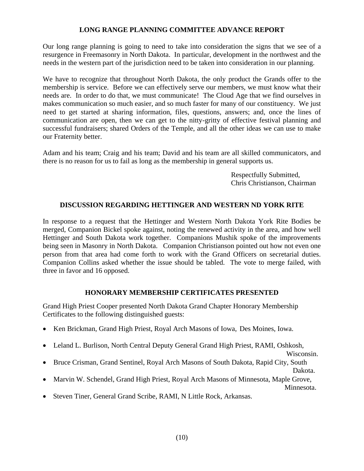## **LONG RANGE PLANNING COMMITTEE ADVANCE REPORT**

Our long range planning is going to need to take into consideration the signs that we see of a resurgence in Freemasonry in North Dakota. In particular, development in the northwest and the needs in the western part of the jurisdiction need to be taken into consideration in our planning.

We have to recognize that throughout North Dakota, the only product the Grands offer to the membership is service. Before we can effectively serve our members, we must know what their needs are. In order to do that, we must communicate! The Cloud Age that we find ourselves in makes communication so much easier, and so much faster for many of our constituency. We just need to get started at sharing information, files, questions, answers; and, once the lines of communication are open, then we can get to the nitty-gritty of effective festival planning and successful fundraisers; shared Orders of the Temple, and all the other ideas we can use to make our Fraternity better.

Adam and his team; Craig and his team; David and his team are all skilled communicators, and there is no reason for us to fail as long as the membership in general supports us.

> Respectfully Submitted, Chris Christianson, Chairman

#### **DISCUSSION REGARDING HETTINGER AND WESTERN ND YORK RITE**

In response to a request that the Hettinger and Western North Dakota York Rite Bodies be merged, Companion Bickel spoke against, noting the renewed activity in the area, and how well Hettinger and South Dakota work together. Companions Mushik spoke of the improvements being seen in Masonry in North Dakota. Companion Christianson pointed out how not even one person from that area had come forth to work with the Grand Officers on secretarial duties. Companion Collins asked whether the issue should be tabled. The vote to merge failed, with three in favor and 16 opposed.

# **HONORARY MEMBERSHIP CERTIFICATES PRESENTED**

Grand High Priest Cooper presented North Dakota Grand Chapter Honorary Membership Certificates to the following distinguished guests:

- Ken Brickman, Grand High Priest, Royal Arch Masons of Iowa, Des Moines, Iowa.
- Leland L. Burlison, North Central Deputy General Grand High Priest, RAMI, Oshkosh,

Wisconsin.

Bruce Crisman, Grand Sentinel, Royal Arch Masons of South Dakota, Rapid City, South

Dakota.

Marvin W. Schendel, Grand High Priest, Royal Arch Masons of Minnesota, Maple Grove,

Minnesota.

Steven Tiner, General Grand Scribe, RAMI, N Little Rock, Arkansas.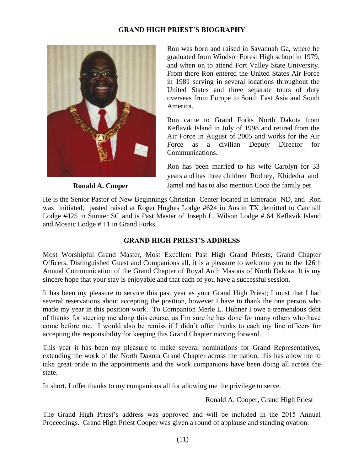# **GRAND HIGH PRIEST'S BIOGRAPHY**



 **Ronald A. Cooper**

Ron was born and raised in Savannah Ga, where he graduated from Windsor Forest High school in 1979, and when on to attend Fort Valley State University. From there Ron entered the United States Air Force in 1981 serving in several locations throughout the United States and three separate tours of duty overseas from Europe to South East Asia and South America.

Ron came to Grand Forks North Dakota from Keflavik Island in July of 1998 and retired from the Air Force in August of 2005 and works for the Air Force as a civilian Deputy Director for Communications.

Ron has been married to his wife Carolyn for 33 years and has three children Rodney, Khidedra and Jamel and has to also mention Coco the family pet.

He is the Senior Pastor of New Beginnings Christian Center located in Emerado ND, and Ron was initiated, pasted raised at Roger Hughes Lodge #624 in Austin TX demitted to Catchall Lodge #425 in Sumter SC and is Past Master of Joseph L. Wilson Lodge # 64 Keflavik Island and Mosaic Lodge # 11 in Grand Forks.

# **GRAND HIGH PRIEST'S ADDRESS**

Most Worshipful Grand Master, Most Excellent Past High Grand Priests, Grand Chapter Officers, Distinguished Guest and Companions all, it is a pleasure to welcome you to the 126th Annual Communication of the Grand Chapter of Royal Arch Masons of North Dakota. It is my sincere hope that your stay is enjoyable and that each of you have a successful session.

It has been my pleasure to service this past year as your Grand High Priest; I must that I had several reservations about accepting the position, however I have to thank the one person who made my year in this position work. To Companion Merle L. Huhner I owe a tremendous debt of thanks for steering me along this course, as I'm sure he has done for many others who have come before me. I would also be remiss if I didn't offer thanks to each my line officers for accepting the responsibility for keeping this Grand Chapter moving forward.

This year it has been my pleasure to make several nominations for Grand Representatives, extending the work of the North Dakota Grand Chapter across the nation, this has allow me to take great pride in the appointments and the work companions have been doing all across the state.

In short, I offer thanks to my companions all for allowing me the privilege to serve.

Ronald A. Cooper, Grand High Priest

The Grand High Priest's address was approved and will be included in the 2015 Annual Proceedings. Grand High Priest Cooper was given a round of applause and standing ovation.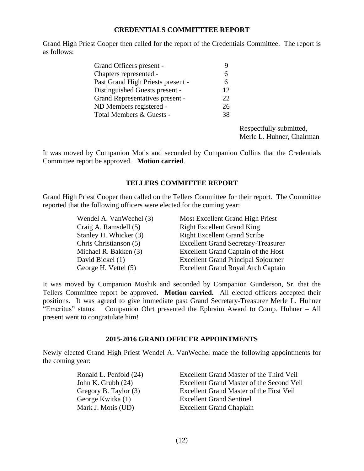#### **CREDENTIALS COMMITTTEE REPORT**

Grand High Priest Cooper then called for the report of the Credentials Committee. The report is as follows:

| Grand Officers present -          |    |
|-----------------------------------|----|
| Chapters represented -            |    |
| Past Grand High Priests present - | 6  |
| Distinguished Guests present -    | 12 |
| Grand Representatives present -   | 22 |
| ND Members registered -           | 26 |
| Total Members & Guests -          | 38 |
|                                   |    |

Respectfully submitted, Merle L. Huhner, Chairman

It was moved by Companion Motis and seconded by Companion Collins that the Credentials Committee report be approved. **Motion carried**.

#### **TELLERS COMMITTEE REPORT**

Grand High Priest Cooper then called on the Tellers Committee for their report. The Committee reported that the following officers were elected for the coming year:

| Wendel A. VanWechel (3) | Most Excellent Grand High Priest           |
|-------------------------|--------------------------------------------|
| Craig A. Ramsdell (5)   | <b>Right Excellent Grand King</b>          |
| Stanley H. Whicker (3)  | <b>Right Excellent Grand Scribe</b>        |
| Chris Christianson (5)  | <b>Excellent Grand Secretary-Treasurer</b> |
| Michael R. Bakken (3)   | <b>Excellent Grand Captain of the Host</b> |
| David Bickel (1)        | <b>Excellent Grand Principal Sojourner</b> |
| George H. Vettel (5)    | Excellent Grand Royal Arch Captain         |

It was moved by Companion Mushik and seconded by Companion Gunderson, Sr. that the Tellers Committee report be approved. **Motion carried.** All elected officers accepted their positions.It was agreed to give immediate past Grand Secretary-Treasurer Merle L. Huhner "Emeritus" status. Companion Ohrt presented the Ephraim Award to Comp. Huhner – All present went to congratulate him!

#### **2015-2016 GRAND OFFICER APPOINTMENTS**

Newly elected Grand High Priest Wendel A. VanWechel made the following appointments for the coming year:

Ronald L. Penfold (24) Excellent Grand Master of the Third Veil John K. Grubb (24) Excellent Grand Master of the Second Veil Gregory B. Taylor (3) Excellent Grand Master of the First Veil George Kwitka (1) Excellent Grand Sentinel Mark J. Motis (UD) Excellent Grand Chaplain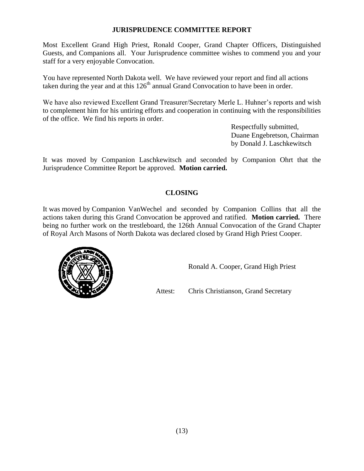#### **JURISPRUDENCE COMMITTEE REPORT**

Most Excellent Grand High Priest, Ronald Cooper, Grand Chapter Officers, Distinguished Guests, and Companions all. Your Jurisprudence committee wishes to commend you and your staff for a very enjoyable Convocation.

You have represented North Dakota well. We have reviewed your report and find all actions taken during the year and at this  $126<sup>th</sup>$  annual Grand Convocation to have been in order.

We have also reviewed Excellent Grand Treasurer/Secretary Merle L. Huhner's reports and wish to complement him for his untiring efforts and cooperation in continuing with the responsibilities of the office. We find his reports in order.

> Respectfully submitted, Duane Engebretson, Chairman by Donald J. Laschkewitsch

It was moved by Companion Laschkewitsch and seconded by Companion Ohrt that the Jurisprudence Committee Report be approved. **Motion carried.**

# **CLOSING**

It was moved by Companion VanWechel and seconded by Companion Collins that all the actions taken during this Grand Convocation be approved and ratified. **Motion carried.** There being no further work on the trestleboard, the 126th Annual Convocation of the Grand Chapter of Royal Arch Masons of North Dakota was declared closed by Grand High Priest Cooper.



Ronald A. Cooper, Grand High Priest

Attest: Chris Christianson, Grand Secretary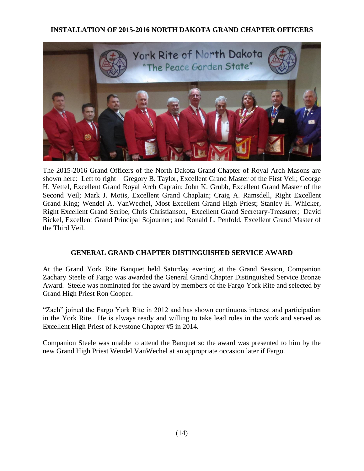# **INSTALLATION OF 2015-2016 NORTH DAKOTA GRAND CHAPTER OFFICERS**



The 2015-2016 Grand Officers of the North Dakota Grand Chapter of Royal Arch Masons are shown here: Left to right – Gregory B. Taylor, Excellent Grand Master of the First Veil; George H. Vettel, Excellent Grand Royal Arch Captain; John K. Grubb, Excellent Grand Master of the Second Veil; Mark J. Motis, Excellent Grand Chaplain; Craig A. Ramsdell, Right Excellent Grand King; Wendel A. VanWechel, Most Excellent Grand High Priest; Stanley H. Whicker, Right Excellent Grand Scribe; Chris Christianson, Excellent Grand Secretary-Treasurer; David Bickel, Excellent Grand Principal Sojourner; and Ronald L. Penfold, Excellent Grand Master of the Third Veil.

# **GENERAL GRAND CHAPTER DISTINGUISHED SERVICE AWARD**

At the Grand York Rite Banquet held Saturday evening at the Grand Session, Companion Zachary Steele of Fargo was awarded the General Grand Chapter Distinguished Service Bronze Award. Steele was nominated for the award by members of the Fargo York Rite and selected by Grand High Priest Ron Cooper.

"Zach" joined the Fargo York Rite in 2012 and has shown continuous interest and participation in the York Rite. He is always ready and willing to take lead roles in the work and served as Excellent High Priest of Keystone Chapter #5 in 2014.

Companion Steele was unable to attend the Banquet so the award was presented to him by the new Grand High Priest Wendel VanWechel at an appropriate occasion later if Fargo.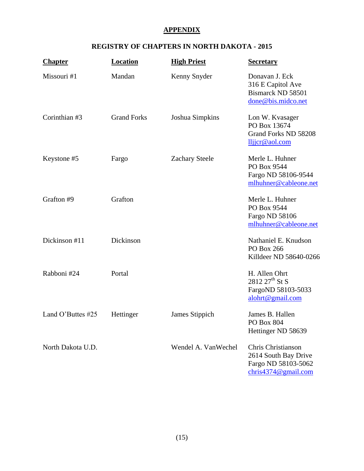# **APPENDIX**

# **REGISTRY OF CHAPTERS IN NORTH DAKOTA - 2015**

| <b>Chapter</b>    | <b>Location</b>    | <b>High Priest</b>    | <b>Secretary</b>                                                                         |
|-------------------|--------------------|-----------------------|------------------------------------------------------------------------------------------|
| Missouri #1       | Mandan             | Kenny Snyder          | Donavan J. Eck<br>316 E Capitol Ave<br>Bismarck ND 58501<br>done@bis.midco.net           |
| Corinthian #3     | <b>Grand Forks</b> | Joshua Simpkins       | Lon W. Kvasager<br>PO Box 13674<br>Grand Forks ND 58208<br>lljjcr@aol.com                |
| Keystone #5       | Fargo              | <b>Zachary Steele</b> | Merle L. Huhner<br>PO Box 9544<br>Fargo ND 58106-9544<br>mlhuhner@cableone.net           |
| Grafton #9        | Grafton            |                       | Merle L. Huhner<br>PO Box 9544<br>Fargo ND 58106<br>mlhuhner@cableone.net                |
| Dickinson #11     | Dickinson          |                       | Nathaniel E. Knudson<br>PO Box 266<br>Killdeer ND 58640-0266                             |
| Rabboni #24       | Portal             |                       | H. Allen Ohrt<br>$2812 27$ <sup>th</sup> St S<br>FargoND 58103-5033<br>alohrt@gmail.com  |
| Land O'Buttes #25 | Hettinger          | James Stippich        | James B. Hallen<br>PO Box 804<br>Hettinger ND 58639                                      |
| North Dakota U.D. |                    | Wendel A. VanWechel   | Chris Christianson<br>2614 South Bay Drive<br>Fargo ND 58103-5062<br>chris4374@gmail.com |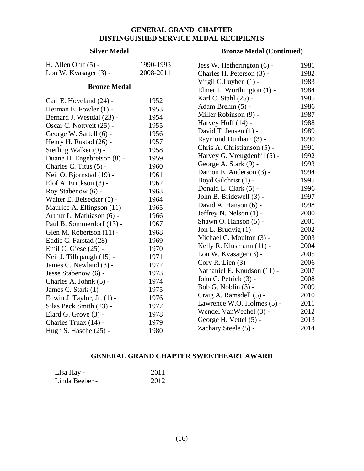# **GENERAL GRAND CHAPTER DISTINGUISHED SERVICE MEDAL RECIPIENTS**

#### **Silver Medal**

#### **Bronze Medal (Continued)**

| H. Allen Ohrt $(5)$ -       | 1990-1993 | Jess W. Hetherington (6) -   | 1981 |
|-----------------------------|-----------|------------------------------|------|
| Lon W. Kvasager (3) -       | 2008-2011 | Charles H. Peterson (3) -    | 1982 |
|                             |           | Virgil C.Luyben (1) -        | 1983 |
| <b>Bronze Medal</b>         |           | Elmer L. Worthington $(1)$ - | 1984 |
| Carl E. Hoveland (24) -     | 1952      | Karl C. Stahl (25) -         | 1985 |
| Herman E. Fowler (1) -      | 1953      | Adam Brehm (5) -             | 1986 |
| Bernard J. Westdal (23) -   | 1954      | Miller Robinson (9) -        | 1987 |
| Oscar C. Nottveit (25) -    | 1955      | Harvey Hoff (14) -           | 1988 |
| George W. Sartell (6) -     | 1956      | David T. Jensen (1) -        | 1989 |
| Henry H. Rustad (26) -      | 1957      | Raymond Dunham (3) -         | 1990 |
| Sterling Walker (9) -       | 1958      | Chris A. Christianson (5) -  | 1991 |
| Duane H. Engebretson (8) -  | 1959      | Harvey G. Vreugdenhil (5) -  | 1992 |
| Charles C. Titus (5) -      | 1960      | George A. Stark (9) -        | 1993 |
| Neil O. Bjornstad (19) -    | 1961      | Damon E. Anderson (3) -      | 1994 |
| Elof A. Erickson (3) -      | 1962      | Boyd Gilchrist (1) -         | 1995 |
| Roy Stabenow (6) -          | 1963      | Donald L. Clark (5) -        | 1996 |
| Walter E. Beisecker (5) -   | 1964      | John B. Bridewell (3) -      | 1997 |
| Maurice A. Ellingson (11) - | 1965      | David A. Hanson (6) -        | 1998 |
| Arthur L. Mathiason (6) -   | 1966      | Jeffrey N. Nelson (1) -      | 2000 |
| Paul B. Sommerdorf (13) -   | 1967      | Shawn O. Hanson (5) -        | 2001 |
| Glen M. Robertson (11) -    | 1968      | Jon L. Brudvig (1) -         | 2002 |
| Eddie C. Farstad (28) -     | 1969      | Michael C. Moulton (3) -     | 2003 |
| Emil C. Giese (25) -        | 1970      | Kelly R. Klusmann (11) -     | 2004 |
| Neil J. Tillepaugh (15) -   | 1971      | Lon W. Kvasager (3) -        | 2005 |
| James C. Newland (3) -      | 1972      | Cory R. Lien (3) -           | 2006 |
| Jesse Stabenow (6) -        | 1973      | Nathaniel E. Knudson (11) -  | 2007 |
| Charles A. Johnk (5) -      | 1974      | John C. Petrick (3) -        | 2008 |
| James C. Stark $(1)$ -      | 1975      | Bob G. Noblin (3) -          | 2009 |
| Edwin J. Taylor, Jr. (1) -  | 1976      | Craig A. Ramsdell (5) -      | 2010 |
| Silas Peck Smith (23) -     | 1977      | Lawrence W.O. Holmes (5) -   | 2011 |
| Elard G. Grove (3) -        | 1978      | Wendel VanWechel (3) -       | 2012 |
| Charles Truax (14) -        | 1979      | George H. Vettel (5) -       | 2013 |
| Hugh S. Hasche (25) -       | 1980      | Zachary Steele (5) -         | 2014 |

#### **GENERAL GRAND CHAPTER SWEETHEART AWARD**

| Lisa Hay -     | 2011 |
|----------------|------|
| Linda Beeber - | 2012 |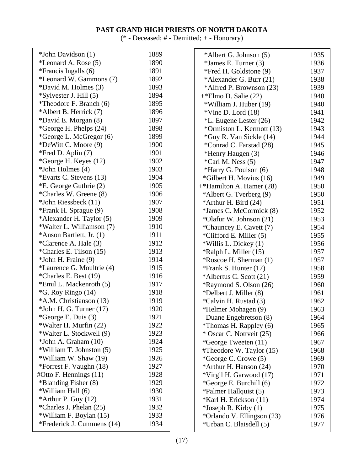# **PAST GRAND HIGH PRIESTS OF NORTH DAKOTA**

(\* - Deceased; # - Demitted; + - Honorary)

| *John Davidson (1)           | 1889 |  |
|------------------------------|------|--|
| *Leonard A. Rose (5)         | 1890 |  |
| *Francis Ingalls (6)         | 1891 |  |
| *Leonard W. Gammons (7)      | 1892 |  |
| *David M. Holmes (3)         | 1893 |  |
| *Sylvester J. Hill (5)       | 1894 |  |
| *Theodore F. Branch (6)      | 1895 |  |
| *Albert B. Herrick (7)       | 1896 |  |
| *David E. Morgan (8)         | 1897 |  |
| *George H. Phelps (24)       | 1898 |  |
| *George L. McGregor (6)      | 1899 |  |
| *DeWitt C. Moore (9)         | 1900 |  |
| *Fred D. Aplin $(7)$         | 1901 |  |
| *George H. Keyes (12)        | 1902 |  |
| *John Holmes (4)             | 1903 |  |
| *Evarts C. Stevens (13)      | 1904 |  |
| *E. George Guthrie (2)       | 1905 |  |
| *Charles W. Greene (8)       | 1906 |  |
| *John Riessbeck (11)         | 1907 |  |
| *Frank H. Sprague (9)        | 1908 |  |
| *Alexander H. Taylor (5)     | 1909 |  |
| *Walter L. Williamson (7)    | 1910 |  |
| *Anson Bartlett, Jr. (1)     | 1911 |  |
| *Clarence A. Hale (3)        | 1912 |  |
| *Charles E. Tilson (15)      | 1913 |  |
| *John H. Fraine (9)          | 1914 |  |
| *Laurence G. Moultrie (4)    | 1915 |  |
| *Charles E. Best (19)        | 1916 |  |
| *Emil L. Mackenroth (5)      | 1917 |  |
| *G. Roy Ringo (14)           | 1918 |  |
| *A.M. Christianson (13)      | 1919 |  |
| $*$ John H. G. Turner $(17)$ | 1920 |  |
| *George E. Duis (3)          | 1921 |  |
| *Walter H. Murfin (22)       | 1922 |  |
| *Walter L. Stockwell (9)     | 1923 |  |
| *John A. Graham (10)         | 1924 |  |
| *William T. Johnston (5)     | 1925 |  |
| *William W. Shaw (19)        | 1926 |  |
| *Forrest F. Vaughn (18)      | 1927 |  |
| #Otto F. Hennings $(11)$     | 1928 |  |
| *Blanding Fisher (8)         | 1929 |  |
| *William Hall (6)            | 1930 |  |
| *Arthur P. Guy $(12)$        | 1931 |  |
| *Charles J. Phelan (25)      | 1932 |  |
| *William F. Boylan (15)      | 1933 |  |
| *Frederick J. Cummens (14)   | 1934 |  |

| *Albert G. Johnson (5)        | 1935 |
|-------------------------------|------|
| *James E. Turner (3)          | 1936 |
| *Fred H. Goldstone (9)        | 1937 |
| *Alexander G. Burr (21)       | 1938 |
| *Alfred P. Brownson (23)      | 1939 |
| $+$ *Elmo D. Salie (22)       | 1940 |
| *William J. Huber (19)        | 1940 |
| $*V$ ine D. Lord (18)         | 1941 |
| *L. Eugene Lester (26)        | 1942 |
| *Ormiston L. Kermott (13)     | 1943 |
| *Guy R. Van Sickle (14)       | 1944 |
| *Conrad C. Farstad (28)       | 1945 |
| *Henry Haugen (3)             | 1946 |
| *Carl M. Ness (5)             | 1947 |
| *Harry G. Poulson (6)         | 1948 |
| *Gilbert H. Movius (16)       | 1949 |
| +*Hamilton A. Hamer (28)      | 1950 |
| *Albert G. Tverberg (9)       | 1950 |
| *Arthur H. Bird (24)          | 1951 |
| *James C. McCormick (8)       | 1952 |
| *Olafur W. Johnson (21)       | 1953 |
| *Chauncey E. Cavett (7)       | 1954 |
| *Clifford E. Miller (5)       | 1955 |
| *Willis L. Dickey (1)         | 1956 |
| *Ralph L. Miller (15)         | 1957 |
| *Roscoe H. Sherman (1)        | 1957 |
| *Frank S. Hunter (17)         | 1958 |
| *Albertus C. Scott (21)       | 1959 |
| <i>*Raymond S. Olson (26)</i> | 1960 |
| *Delbert J. Miller (8)        | 1961 |
| *Calvin H. Rustad (3)         | 1962 |
| *Helmer Mohagen (9)           | 1963 |
| Duane Engebretson (8)         | 1964 |
| *Thomas H. Rappley (6)        | 1965 |
| * Oscar C. Nottveit (25)      | 1966 |
| *George Tweeten (11)          | 1967 |
| #Theodore W. Taylor (15)      | 1968 |
| *George C. Crowe (5)          | 1969 |
| *Arthur H. Hanson (24)        | 1970 |
| *Virgil H. Garwood (17)       | 1971 |
| *George E. Burchill (6)       | 1972 |
| *Palmer Hallquist (5)         | 1973 |
| *Karl H. Erickson (11)        | 1974 |
| $*$ Joseph R. Kirby $(1)$     | 1975 |
| *Orlando V. Ellingson (23)    | 1976 |
| *Urban C. Blaisdell (5)       | 1977 |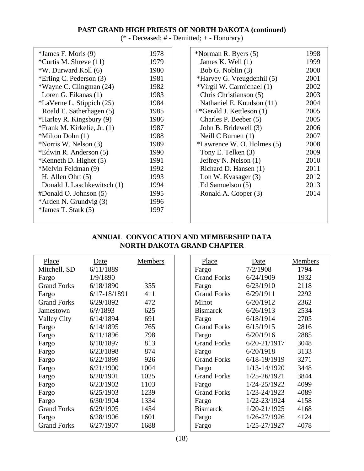# **PAST GRAND HIGH PRIESTS OF NORTH DAKOTA (continued)**

(\* - Deceased; # - Demitted; + - Honorary)

| *James F. Moris (9)         | 1978 |
|-----------------------------|------|
| *Curtis M. Shreve (11)      | 1979 |
| *W. Durward Koll (6)        | 1980 |
| *Erling C. Pederson (3)     | 1981 |
| *Wayne C. Clingman (24)     | 1982 |
| Loren G. Eikanas (1)        | 1983 |
| *LaVerne L. Stippich (25)   | 1984 |
| Roald E. Satherhagen (5)    | 1985 |
| *Harley R. Kingsbury (9)    | 1986 |
| *Frank M. Kirkelie, Jr. (1) | 1987 |
| *Milton Dohn (1)            | 1988 |
| *Norris W. Nelson (3)       | 1989 |
| *Edwin R. Anderson (5)      | 1990 |
| *Kenneth D. Highet $(5)$    | 1991 |
| *Melvin Feldman (9)         | 1992 |
| H. Allen Ohrt $(5)$         | 1993 |
| Donald J. Laschkewitsch (1) | 1994 |
| #Donald O. Johnson (5)      | 1995 |
| *Arden N. Grundvig (3)      | 1996 |
| *James T. Stark (5)         | 1997 |
|                             |      |

| *Norman R. Byers (5)       | 1998 |
|----------------------------|------|
| James K. Well (1)          | 1999 |
| Bob G. Noblin (3)          | 2000 |
| *Harvey G. Vreugdenhil (5) | 2001 |
| *Virgil W. Carmichael (1)  | 2002 |
| Chris Christianson (5)     | 2003 |
| Nathaniel E. Knudson (11)  | 2004 |
| +*Gerald J. Kettleson (1)  | 2005 |
| Charles P. Beeber (5)      | 2005 |
| John B. Bridewell (3)      | 2006 |
| Neill $C$ Burnett $(1)$    | 2007 |
| *Lawrence W. O. Holmes (5) | 2008 |
| Tony E. Telken (3)         | 2009 |
| Jeffrey N. Nelson (1)      | 2010 |
| Richard D. Hansen (1)      | 2011 |
| Lon W. Kvasager (3)        | 2012 |
| Ed Samuelson (5)           | 2013 |
| Ronald A. Cooper (3)       | 2014 |
|                            |      |
|                            |      |
|                            |      |

# **ANNUAL CONVOCATION AND MEMBERSHIP DATA NORTH DAKOTA GRAND CHAPTER**

| Place              | Date                | Members | Place              | Date             | Members |
|--------------------|---------------------|---------|--------------------|------------------|---------|
| Mitchell, SD       | 6/11/1889           |         | Fargo              | 7/2/1908         | 1794    |
| Fargo              | 1/9/1890            |         | <b>Grand Forks</b> | 6/24/1909        | 1932    |
| <b>Grand Forks</b> | 6/18/1890           | 355     | Fargo              | 6/23/1910        | 2118    |
| Fargo              | $6/17 - 18/1891$    | 411     | <b>Grand Forks</b> | 6/29/1911        | 2292    |
| <b>Grand Forks</b> | 6/29/1892           | 472     | Minot              | 6/20/1912        | 2362    |
| Jamestown          | $6/?\frac{1893}{ }$ | 625     | <b>Bismarck</b>    | 6/26/1913        | 2534    |
| <b>Valley City</b> | 6/14/1894           | 691     | Fargo              | 6/18/1914        | 2705    |
| Fargo              | 6/14/1895           | 765     | <b>Grand Forks</b> | 6/15/1915        | 2816    |
| Fargo              | 6/11/1896           | 798     | Fargo              | 6/20/1916        | 2885    |
| Fargo              | 6/10/1897           | 813     | <b>Grand Forks</b> | $6/20 - 21/1917$ | 3048    |
| Fargo              | 6/23/1898           | 874     | Fargo              | 6/20/1918        | 3133    |
| Fargo              | 6/22/1899           | 926     | <b>Grand Forks</b> | $6/18 - 19/1919$ | 3271    |
| Fargo              | 6/21/1900           | 1004    | Fargo              | $1/13 - 14/1920$ | 3448    |
| Fargo              | 6/20/1901           | 1025    | <b>Grand Forks</b> | 1/25-26/1921     | 3844    |
| Fargo              | 6/23/1902           | 1103    | Fargo              | 1/24-25/1922     | 4099    |
| Fargo              | 6/25/1903           | 1239    | <b>Grand Forks</b> | 1/23-24/1923     | 4089    |
| Fargo              | 6/30/1904           | 1334    | Fargo              | 1/22-23/1924     | 4158    |
| <b>Grand Forks</b> | 6/29/1905           | 1454    | <b>Bismarck</b>    | 1/20-21/1925     | 4168    |
| Fargo              | 6/28/1906           | 1601    | Fargo              | 1/26-27/1926     | 4124    |
| <b>Grand Forks</b> | 6/27/1907           | 1688    | Fargo              | 1/25-27/1927     | 4078    |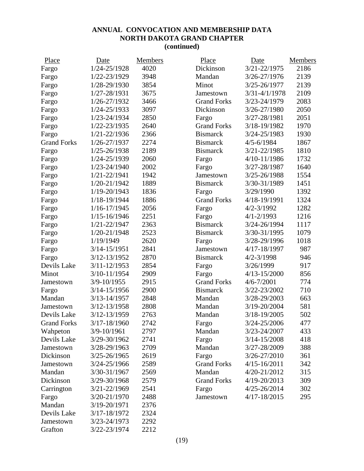# **ANNUAL CONVOCATION AND MEMBERSHIP DATA NORTH DAKOTA GRAND CHAPTER (continued)**

| Place              | Date             | Members | Place              | Date              | Members |
|--------------------|------------------|---------|--------------------|-------------------|---------|
| Fargo              | 1/24-25/1928     | 4020    | Dickinson          | 3/21-22/1975      | 2186    |
| Fargo              | 1/22-23/1929     | 3948    | Mandan             | 3/26-27/1976      | 2139    |
| Fargo              | 1/28-29/1930     | 3854    | Minot              | 3/25-26/1977      | 2139    |
| Fargo              | 1/27-28/1931     | 3675    | Jamestown          | $3/31 - 4/1/1978$ | 2109    |
| Fargo              | 1/26-27/1932     | 3466    | <b>Grand Forks</b> | 3/23-24/1979      | 2083    |
| Fargo              | 1/24-25/1933     | 3097    | Dickinson          | 3/26-27/1980      | 2050    |
| Fargo              | 1/23-24/1934     | 2850    | Fargo              | 3/27-28/1981      | 2051    |
| Fargo              | 1/22-23/1935     | 2640    | <b>Grand Forks</b> | 3/18-19/1982      | 1970    |
| Fargo              | 1/21-22/1936     | 2366    | <b>Bismarck</b>    | 3/24-25/1983      | 1930    |
| <b>Grand Forks</b> | 1/26-27/1937     | 2274    | <b>Bismarck</b>    | $4/5 - 6/1984$    | 1867    |
| Fargo              | 1/25-26/1938     | 2189    | <b>Bismarck</b>    | 3/21-22/1985      | 1810    |
| Fargo              | 1/24-25/1939     | 2060    | Fargo              | 4/10-11/1986      | 1732    |
| Fargo              | 1/23-24/1940     | 2002    | Fargo              | 3/27-28/1987      | 1640    |
| Fargo              | 1/21-22/1941     | 1942    | Jamestown          | 3/25-26/1988      | 1554    |
| Fargo              | 1/20-21/1942     | 1889    | <b>Bismarck</b>    | 3/30-31/1989      | 1451    |
| Fargo              | 1/19-20/1943     | 1836    | Fargo              | 3/29/1990         | 1392    |
| Fargo              | 1/18-19/1944     | 1886    | <b>Grand Forks</b> | 4/18-19/1991      | 1324    |
| Fargo              | 1/16-17/1945     | 2056    | Fargo              | $4/2 - 3/1992$    | 1282    |
| Fargo              | 1/15-16/1946     | 2251    | Fargo              | $4/1 - 2/1993$    | 1216    |
| Fargo              | 1/21-22/1947     | 2363    | <b>Bismarck</b>    | 3/24-26/1994      | 1117    |
| Fargo              | 1/20-21/1948     | 2523    | <b>Bismarck</b>    | 3/30-31/1995      | 1079    |
| Fargo              | 1/19/1949        | 2620    | Fargo              | 3/28-29/1996      | 1018    |
| Fargo              | 3/14-15/1951     | 2841    | Jamestown          | 4/17-18/1997      | 987     |
| Fargo              | 3/12-13/1952     | 2870    | <b>Bismarck</b>    | $4/2 - 3/1998$    | 946     |
| Devils Lake        | 3/11-12/1953     | 2854    | Fargo              | 3/26/1999         | 917     |
| Minot              | 3/10-11/1954     | 2909    | Fargo              | $4/13 - 15/2000$  | 856     |
| Jamestown          | 3/9-10/1955      | 2915    | <b>Grand Forks</b> | $4/6 - 7/2001$    | 774     |
| Fargo              | $3/14 - 15/1956$ | 2900    | <b>Bismarck</b>    | 3/22-23/2002      | 710     |
| Mandan             | 3/13-14/1957     | 2848    | Mandan             | 3/28-29/2003      | 663     |
| Jamestown          | 3/12-13/1958     | 2808    | Mandan             | 3/19-20/2004      | 581     |
| Devils Lake        | 3/12-13/1959     | 2763    | Mandan             | 3/18-19/2005      | 502     |
| <b>Grand Forks</b> | 3/17-18/1960     | 2742    | Fargo              | 3/24-25/2006      | 477     |
| Wahpeton           | 3/9-10/1961      | 2797    | Mandan             | 3/23-24/2007      | 433     |
| Devils Lake        | 3/29-30/1962     | 2741    | Fargo              | 3/14-15/2008      | 418     |
| Jamestown          | 3/28-29/1963     | 2709    | Mandan             | 3/27-28/2009      | 388     |
| Dickinson          | 3/25-26/1965     | 2619    | Fargo              | 3/26-27/2010      | 361     |
| Jamestown          | 3/24-25/1966     | 2589    | <b>Grand Forks</b> | $4/15 - 16/2011$  | 342     |
| Mandan             | 3/30-31/1967     | 2569    | Mandan             | 4/20-21/2012      | 315     |
| Dickinson          | 3/29-30/1968     | 2579    | <b>Grand Forks</b> | 4/19-20/2013      | 309     |
| Carrington         | 3/21-22/1969     | 2541    | Fargo              | 4/25-26/2014      | 302     |
| Fargo              | 3/20-21/1970     | 2488    | Jamestown          | 4/17-18/2015      | 295     |
| Mandan             | 3/19-20/1971     | 2376    |                    |                   |         |
| Devils Lake        | 3/17-18/1972     | 2324    |                    |                   |         |
| Jamestown          | 3/23-24/1973     | 2292    |                    |                   |         |
| Grafton            | 3/22-23/1974     | 2212    |                    |                   |         |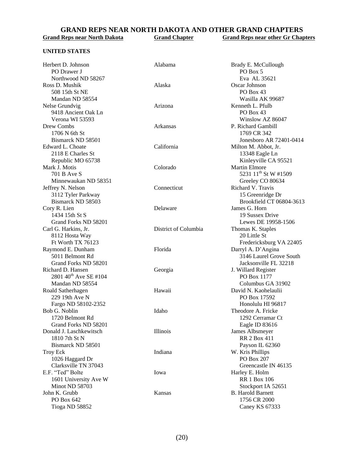#### **GRAND REPS NEAR NORTH DAKOTA AND OTHER GRAND CHAPTERS**<br>Grand Reps near North Dakota<br>Grand Chapter<br>Grand Reps near other Gr Chap **Grand Reps near other Gr Chapters**

#### **UNITED STATES**

| Herbert D. Johnson                | Alabama              | Brady E. McCullough              |
|-----------------------------------|----------------------|----------------------------------|
| PO Drawer J                       |                      | PO Box 5                         |
| Northwood ND 58267                |                      | Eva AL 35621                     |
| Ross D. Mushik                    | Alaska               | Oscar Johnson                    |
| 508 15th St NE                    |                      | PO Box 43                        |
| Mandan ND 58554                   |                      | Wasilla AK 99687                 |
| Nelse Grundvig                    | Arizona              | Kenneth L. Pfulb                 |
| 9418 Ancient Oak Ln               |                      | PO Box 43                        |
| Verona WI 53593                   |                      | Winslow AZ 86047                 |
| Drew Combs                        | Arkansas             | P. Richard Gambill               |
| 1706 N 6th St                     |                      | 1769 CR 342                      |
| Bismarck ND 58501                 |                      | Jonesboro AR 72401-0414          |
| Edward L. Choate                  | California           | Milton M. Abbot, Jr.             |
| 2118 E Charles St                 |                      | 13348 Eagle Ln                   |
| Republic MO 65738                 |                      | Kinleyville CA 95521             |
| Mark J. Motis                     | Colorado             | <b>Martin Elmore</b>             |
| 701 B Ave S                       |                      | 5231 11 <sup>th</sup> St W #1509 |
| Minnewaukan ND 58351              |                      | Greeley CO 80634                 |
| Jeffrey N. Nelson                 | Connecticut          | Richard V. Travis                |
| 3112 Tyler Parkway                |                      | 15 Greenridge Dr                 |
| Bismarck ND 58503                 |                      | Brookfield CT 06804-3613         |
| Cory R. Lien                      | Delaware             | James G. Horn                    |
| 1434 15th St S                    |                      | 19 Sussex Drive                  |
| Grand Forks ND 58201              |                      | Lewes DE 19958-1506              |
| Carl G. Harkins, Jr.              | District of Columbia | Thomas K. Staples                |
| 8112 Hosta Way                    |                      | 20 Little St                     |
| Ft Worth TX 76123                 |                      | Fredericksburg VA 22405          |
| Raymond E. Dunham                 | Florida              | Darryl A. D'Angina               |
| 5011 Belmont Rd                   |                      | 3146 Laurel Grove South          |
| Grand Forks ND 58201              |                      | Jacksonville FL 32218            |
| Richard D. Hansen                 | Georgia              | J. Willard Register              |
| 2801 40 <sup>th</sup> Ave SE #104 |                      | PO Box 1177                      |
| Mandan ND 58554                   |                      | Columbus GA 31902                |
| Roald Satherhagen                 | Hawaii               | David N. Kaohelaulii             |
| 229 19th Ave N                    |                      | PO Box 17592                     |
| Fargo ND 58102-2352               |                      | Honolulu HI 96817                |
| Bob G. Noblin                     | Idaho                | Theodore A. Fricke               |
| 1720 Belmont Rd                   |                      | 1292 Cerramar Ct                 |
| Grand Forks ND 58201              |                      | Eagle ID 83616                   |
| Donald J. Laschkewitsch           | Illinois             | James Albsmeyer                  |
| 1810 7th St N                     |                      | <b>RR 2 Box 411</b>              |
| Bismarck ND 58501                 |                      | Payson IL 62360                  |
| <b>Troy Eck</b>                   | Indiana              | W. Kris Phillips                 |
| 1026 Haggard Dr                   |                      | PO Box 207                       |
| Clarksville TN 37043              |                      | Greencastle IN 46135             |
| E.F. "Ted" Bolte                  | Iowa                 | Harley E. Holm                   |
| 1601 University Ave W             |                      | <b>RR 1 Box 106</b>              |
| Minot ND 58703                    |                      | Stockport IA 52651               |
| John K. Grubb                     | Kansas               | <b>B.</b> Harold Barnett         |
| PO Box 642                        |                      | 1756 CR 2000                     |
| Tioga ND 58852                    |                      | Caney KS 67333                   |
|                                   |                      |                                  |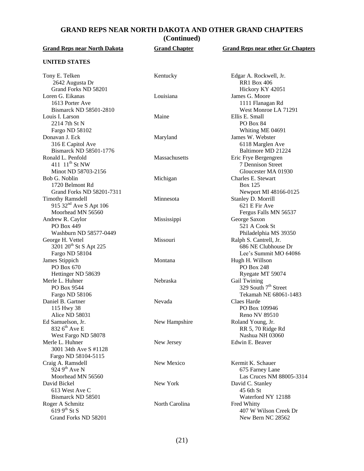# **GRAND REPS NEAR NORTH DAKOTA AND OTHER GRAND CHAPTERS**

**(Continued)**

| <b>Grand Reps near North Dakota</b>                                                                             | <b>Grand Chapter</b> | <b>Grand Reps near other Gr Chapters</b>                                        |
|-----------------------------------------------------------------------------------------------------------------|----------------------|---------------------------------------------------------------------------------|
| <b>UNITED STATES</b>                                                                                            |                      |                                                                                 |
| Tony E. Telken<br>2642 Augusta Dr                                                                               | Kentucky             | Edgar A. Rockwell, Jr.<br><b>RR1</b> Box 406                                    |
| Grand Forks ND 58201<br>Loren G. Eikanas<br>1613 Porter Ave                                                     | Louisiana            | Hickory KY 42051<br>James G. Moore<br>1111 Flanagan Rd                          |
| Bismarck ND 58501-2810<br>Louis I. Larson<br>2214 7th St N                                                      | Maine                | West Monroe LA 71291<br>Ellis E. Small<br>PO Box 84                             |
| Fargo ND 58102<br>Donavan J. Eck<br>316 E Capitol Ave                                                           | Maryland             | Whiting ME 04691<br>James W. Webster<br>6118 Marglen Ave                        |
| Bismarck ND 58501-1776<br>Ronald L. Penfold<br>411 11 <sup>th</sup> St NW                                       | Massachusetts        | Baltimore MD 21224<br>Eric Frye Bergengren<br>7 Dennison Street                 |
| Minot ND 58703-2156<br>Bob G. Noblin<br>1720 Belmont Rd                                                         | Michigan             | Gloucester MA 01930<br>Charles E. Stewart<br><b>Box 125</b>                     |
| Grand Forks ND 58201-7311<br><b>Timothy Ramsdell</b><br>915 32 <sup>nd</sup> Ave S Apt 106<br>Moorhead MN 56560 | Minnesota            | Newport MI 48166-0125<br>Stanley D. Morrill<br>621 E Fir Ave                    |
| Andrew R. Caylor<br>PO Box 449<br>Washburn ND 58577-0449                                                        | Mississippi          | Fergus Falls MN 56537<br>George Saxon<br>521 A Cook St<br>Philadelphia MS 39350 |
| George H. Vettel<br>3201 20 <sup>th</sup> St S Apt 225<br>Fargo ND 58104                                        | Missouri             | Ralph S. Cantrell, Jr.<br>686 NE Clubhouse Dr<br>Lee's Summit MO 64086          |
| James Stippich<br>PO Box 670<br>Hettinger ND 58639                                                              | Montana              | Hugh H. Willson<br>PO Box 248<br>Ryegate MT 59074                               |
| Merle L. Huhner<br>PO Box 9544<br>Fargo ND 58106                                                                | Nebraska             | Gail Twining<br>329 South 7 <sup>th</sup> Street<br>Tekamah NE 68061-1483       |
| Daniel B. Gartner<br>115 Hwy 38<br>Alice ND 58031                                                               | Nevada               | Claes Harde<br>PO Box 109946<br>Reno NV 89510                                   |
| Ed Samuelson, Jr.<br>832 6 <sup>th</sup> Ave E<br>West Fargo ND 58078                                           | New Hampshire        | Roland Young, Jr.<br>RR 5, 70 Ridge Rd<br>Nashua NH 03060                       |
| Merle L. Huhner<br>3001 34th Ave S #1128<br>Fargo ND 58104-5115                                                 | New Jersey           | Edwin E. Beaver                                                                 |
| Craig A. Ramsdell<br>924 9 <sup>th</sup> Ave N<br>Moorhead MN 56560                                             | New Mexico           | Kermit K. Schauer<br>675 Farney Lane<br>Las Cruces NM 88005-3314                |
| David Bickel<br>613 West Ave C                                                                                  | New York             | David C. Stanley<br>45 6th St                                                   |
| Bismarck ND 58501<br>Roger A Schmitz<br>619 $9^{th}$ St S<br>Grand Forks ND 58201                               | North Carolina       | Waterford NY 12188<br>Fred Whitty<br>407 W Wilson Creek Dr<br>New Bern NC 28562 |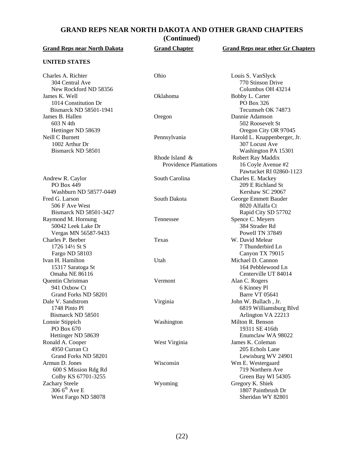# **GRAND REPS NEAR NORTH DAKOTA AND OTHER GRAND CHAPTERS**

**(Continued)**

| <b>Grand Reps near North Dakota</b>                              | <b>Grand Chapter</b>                            | <b>Grand Reps near other Gr Chapters</b>                              |
|------------------------------------------------------------------|-------------------------------------------------|-----------------------------------------------------------------------|
| <b>UNITED STATES</b>                                             |                                                 |                                                                       |
| Charles A. Richter<br>304 Central Ave<br>New Rockford ND 58356   | Ohio                                            | Louis S. VanSlyck<br>770 Stinson Drive<br>Columbus OH 43214           |
| James K. Well<br>1014 Constitution Dr<br>Bismarck ND 58501-1941  | Oklahoma                                        | Bobby L. Carter<br>PO Box 326<br>Tecumseh OK 74873                    |
| James B. Hallen<br>603 N 4th<br>Hettinger ND 58639               | Oregon                                          | Dannie Adamson<br>502 Roosevelt St<br>Oregon City OR 97045            |
| Neill C Burnett<br>1002 Arthur Dr<br>Bismarck ND 58501           | Pennsylvania                                    | Harold L. Knappenberger, Jr.<br>307 Locust Ave<br>Washington PA 15301 |
|                                                                  | Rhode Island &<br><b>Providence Plantations</b> | Robert Ray Maddix<br>16 Coyle Avenue #2<br>Pawtucket RI 02860-1123    |
| Andrew R. Caylor<br><b>PO Box 449</b><br>Washburn ND 58577-0449  | South Carolina                                  | Charles E. Mackey<br>209 E Richland St<br>Kershaw SC 29067            |
| Fred G. Larson<br>506 F Ave West<br>Bismarck ND 58501-3427       | South Dakota                                    | George Emmett Bauder<br>8020 Alfalfa Ct<br>Rapid City SD 57702        |
| Raymond M. Hornung<br>50042 Leek Lake Dr<br>Vergas MN 56587-9433 | Tennessee                                       | Spence C. Meyers<br>384 Strader Rd<br>Powell TN 37849                 |
| Charles P. Beeber<br>1726 14½ St S<br>Fargo ND 58103             | Texas                                           | W. David Melear<br>7 Thunderbird Ln<br>Canyon TX 79015                |
| Ivan H. Hamilton<br>15317 Saratoga St<br>Omaha NE 86116          | Utah                                            | Michael D. Cannon<br>164 Pebblewood Ln<br>Centerville UT 84014        |
| Quentin Christman<br>941 Oxbow Ct<br>Grand Forks ND 58201        | Vermont                                         | Alan C. Rogers<br>6 Kinney Pl<br><b>Barre VT 05641</b>                |
| Dale V. Sandstrom<br>1748 Pinto Pl<br>Bismarck ND 58501          | Virginia                                        | John W. Bullach, Jr.<br>6819 Williamsburg Blvd<br>Arlington VA 22213  |
| Lonnie Stippich<br>PO Box 670<br>Hettinger ND 58639              | Washington                                      | Milton R. Benson<br>19311 SE 416th<br>Enumclaw WA 98022               |
| Ronald A. Cooper<br>4950 Curran Ct<br>Grand Forks ND 58201       | West Virginia                                   | James K. Coleman<br>205 Echols Lane<br>Lewisburg WV 24901             |
| Armun D. Jones<br>600 S Mission Rdg Rd<br>Colby KS 67701-3255    | Wisconsin                                       | Wm E. Westergaard<br>719 Northern Ave<br>Green Bay WI 54305           |
| Zachary Steele<br>306 $6^{th}$ Ave E<br>West Fargo ND 58078      | Wyoming                                         | Gregory K. Shiek<br>1807 Paintbrush Dr<br>Sheridan WY 82801           |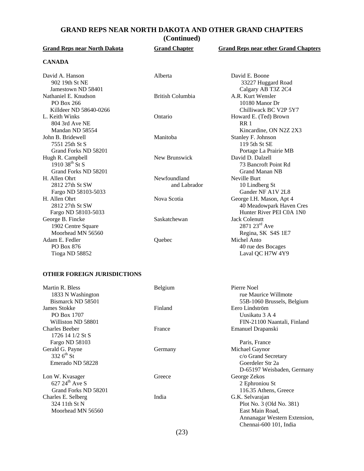## **GRAND REPS NEAR NORTH DAKOTA AND OTHER GRAND CHAPTERS**

**(Continued)**

| <b>Grand Reps near North Dakota</b> | <b>Grand Chapter</b> | <b>Grand Reps near other Grand Chapters</b> |
|-------------------------------------|----------------------|---------------------------------------------|
| <b>CANADA</b>                       |                      |                                             |
| David A. Hanson                     | Alberta              | David E. Boone                              |
| 902 19th St NE                      |                      | 33227 Huggard Road                          |
| Jamestown ND 58401                  |                      | Calgary AB T3Z 2C4                          |
| Nathaniel E. Knudson                | British Columbia     | A.R. Kurt Wensler                           |
| PO Box 266                          |                      | 10180 Manor Dr                              |
| Killdeer ND 58640-0266              |                      | Chilliwack BC V2P 5Y7                       |
| L. Keith Winks                      | Ontario              | Howard E. (Ted) Brown                       |
| 804 3rd Ave NE                      |                      | RR <sub>1</sub>                             |
| Mandan ND 58554                     |                      | Kincardine, ON N2Z 2X3                      |
| John B. Bridewell                   | Manitoba             | Stanley F. Johnson                          |
| 7551 25th St S                      |                      | 119 5th St SE                               |
| Grand Forks ND 58201                |                      | Portage La Prairie MB                       |
| Hugh R. Campbell                    | New Brunswick        | David D. Dalzell                            |
| 1910 38 <sup>th</sup> St S          |                      | 73 Bancroft Point Rd                        |
| Grand Forks ND 58201                |                      | <b>Grand Manan NB</b>                       |
| H. Allen Ohrt                       | Newfoundland         | Neville Burt                                |
| 2812 27th St SW                     | and Labrador         | 10 Lindberg St                              |
| Fargo ND 58103-5033                 |                      | Gander NF A1V 2L8                           |
| H. Allen Ohrt                       | Nova Scotia          | George I.H. Mason, Apt 4                    |
| 2812 27th St SW                     |                      | 40 Meadowpark Haven Cres                    |
| Fargo ND 58103-5033                 |                      | Hunter River PEI C0A 1N0                    |
| George B. Fincke                    | Saskatchewan         | <b>Jack Colenutt</b>                        |
| 1902 Centre Square                  |                      | $2871\ 23^{rd}$ Ave                         |
| Moorhead MN 56560                   |                      | Regina, SK S4S 1E7                          |
| Adam E. Fedler                      | Quebec               | Michel Anto                                 |
| PO Box 876                          |                      | 40 rue des Bocages                          |
| Tioga ND 58852                      |                      | Laval QC H7W 4Y9                            |

#### **OTHER FOREIGN JURISDICTIONS**

| Martin R. Bless<br>1833 N Washington<br>Bismarck ND 58501 | Belgium | Pierre Noel<br>rue Maurice Willmote<br>55B-1060 Brussels, Belgium |
|-----------------------------------------------------------|---------|-------------------------------------------------------------------|
| James Stokke                                              | Finland | Eero Lindström                                                    |
| PO Box 1707                                               |         | Uusikatu 3 A 4                                                    |
| Williston ND 58801                                        |         | FIN-21100 Naantali, Finland                                       |
| <b>Charles Beeber</b>                                     | France  | Emanuel Drapanski                                                 |
| 1726 14 1/2 St S                                          |         |                                                                   |
| Fargo ND 58103                                            |         | Paris, France                                                     |
| Gerald G. Payne                                           | Germany | Michael Gaynor                                                    |
| 332 $6^{th}$ St                                           |         | c/o Grand Secretary                                               |
| Emerado ND 58228                                          |         | Goerdeler Str 2a                                                  |
|                                                           |         | D-65197 Weisbaden, Germany                                        |
| Lon W. Kvasager                                           | Greece  | George Zekos                                                      |
| 627 $24^{th}$ Ave S                                       |         | 2 Ephroniou St                                                    |
| Grand Forks ND 58201                                      |         | 116.35 Athens, Greece                                             |
| Charles E. Selberg                                        | India   | G.K. Selvarajan                                                   |
| 324 11th St N                                             |         | Plot No. 3 (Old No. 381)                                          |
| Moorhead MN 56560                                         |         | East Main Road,                                                   |
|                                                           |         | Annanagar Western Extension,                                      |
|                                                           |         | Chennai-600 101, India                                            |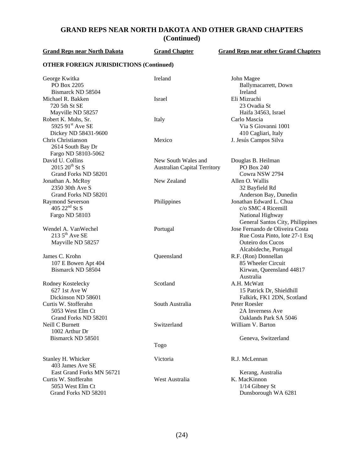# **GRAND REPS NEAR NORTH DAKOTA AND OTHER GRAND CHAPTERS (Continued)**

| <b>Grand Reps near North Dakota</b>                                                           | <b>Grand Chapter</b>                | <b>Grand Reps near other Grand Chapters</b>                                                                                                                |  |
|-----------------------------------------------------------------------------------------------|-------------------------------------|------------------------------------------------------------------------------------------------------------------------------------------------------------|--|
| <b>OTHER FOREIGN JURISDICTIONS (Continued)</b>                                                |                                     |                                                                                                                                                            |  |
| George Kwitka<br>PO Box 2205<br>Bismarck ND 58504                                             | Ireland                             | John Magee<br>Ballymacarrett, Down<br>Ireland                                                                                                              |  |
| Michael R. Bakken<br>720 5th St SE<br>Mayville ND 58257                                       | Israel                              | Eli Mizrachi<br>23 Ovadia St<br>Haifa 34563, Israel                                                                                                        |  |
| Robert K. Muhs, Sr.<br>5925 91 <sup>st</sup> Ave SE<br>Dickey ND 58431-9600                   | Italy                               | Carlo Mascia<br>Via S Giovanni 1001<br>410 Cagliari, Italy                                                                                                 |  |
| Chris Christianson<br>2614 South Bay Dr<br>Fargo ND 58103-5062                                | Mexico                              | J. Jesús Campos Silva                                                                                                                                      |  |
| David U. Collins                                                                              | New South Wales and                 | Douglas B. Heilman                                                                                                                                         |  |
| $2015\ 20^{th}$ St S                                                                          | <b>Australian Capital Territory</b> | PO Box 240                                                                                                                                                 |  |
| Grand Forks ND 58201                                                                          |                                     | Cowra NSW 2794                                                                                                                                             |  |
| Jonathan A. McRoy<br>2350 30th Ave S<br>Grand Forks ND 58201                                  | New Zealand                         | Allen O. Wallis<br>32 Bayfield Rd<br>Anderson Bay, Dunedin                                                                                                 |  |
| <b>Raymond Severson</b><br>405 $22nd$ St S<br>Fargo ND 58103                                  | Philippines                         | Jonathan Edward L. Chua<br>c/o SMC 4 Ricemill<br>National Highway                                                                                          |  |
| Wendel A. VanWechel<br>$2135^{\text{th}}$ Ave SE<br>Mayville ND 58257                         | Portugal                            | General Santos City, Philippines<br>Jose Fernando de Oliveira Costa<br>Rue Costa Pinto, lote 27-1 Esq<br><b>Outeiro</b> dos Cucos<br>Alcabideche, Portugal |  |
| James C. Krohn<br>107 E Bowen Apt 404<br>Bismarck ND 58504                                    | Queensland                          | R.F. (Ron) Donnellan<br>85 Wheeler Circuit<br>Kirwan, Queensland 44817<br>Australia                                                                        |  |
| Rodney Kostelecky<br>627 1st Ave W<br>Dickinson ND 58601                                      | Scotland                            | A.H. McWatt<br>15 Patrick Dr, Shieldhill<br>Falkirk, FK1 2DN, Scotland                                                                                     |  |
| Curtis W. Stofferahn<br>5053 West Elm Ct<br>Grand Forks ND 58201                              | South Australia                     | Peter Roesler<br>2A Inverness Ave<br>Oaklands Park SA 5046                                                                                                 |  |
| Neill C Burnett<br>1002 Arthur Dr                                                             | Switzerland                         | William V. Barton                                                                                                                                          |  |
| Bismarck ND 58501                                                                             | Togo                                | Geneva, Switzerland                                                                                                                                        |  |
| Stanley H. Whicker<br>403 James Ave SE                                                        | Victoria                            | R.J. McLennan                                                                                                                                              |  |
| East Grand Forks MN 56721<br>Curtis W. Stofferahn<br>5053 West Elm Ct<br>Grand Forks ND 58201 | West Australia                      | Kerang, Australia<br>K. MacKinnon<br>$1/14$ Gibney St<br>Dunsborough WA 6281                                                                               |  |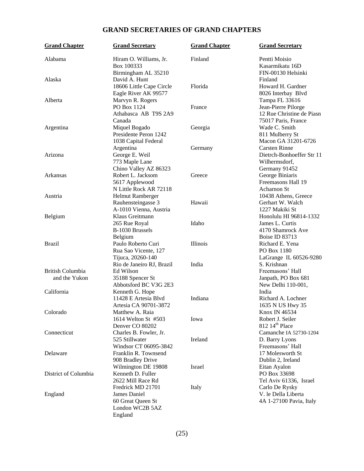# **GRAND SECRETARIES OF GRAND CHAPTERS**

| <b>Grand Chapter</b>                                   | <b>Grand Secretary</b>                                                              | <b>Grand Chapter</b> | <b>Grand Secretary</b>                                                                    |
|--------------------------------------------------------|-------------------------------------------------------------------------------------|----------------------|-------------------------------------------------------------------------------------------|
| Alabama                                                | Hiram O. Williams, Jr.<br>Box 100333<br>Birmingham AL 35210                         | Finland              | Pentti Moisio<br>Kasarmikatu 16D<br>FIN-00130 Helsinki                                    |
| Alaska                                                 | David A. Hunt<br>18606 Little Cape Circle<br>Eagle River AK 99577                   | Florida              | Finland<br>Howard H. Gardner<br>8026 Interbay Blvd                                        |
| Alberta                                                | Marvyn R. Rogers<br>PO Box 1124<br>Athabasca AB T9S 2A9<br>Canada                   | France               | Tampa FL 33616<br>Jean-Pierre Pilorge<br>12 Rue Christine de Piasn<br>75017 Paris, France |
| Argentina                                              | Miquel Bogado<br>Presidente Peron 1242<br>1038 Capital Federal<br>Argentina         | Georgia<br>Germany   | Wade C. Smith<br>811 Mulberry St<br>Macon GA 31201-6726<br><b>Carsten Rinne</b>           |
| Arizona                                                | George E. Weil<br>773 Maple Lane<br>Chino Valley AZ 86323                           |                      | Dietrch-Bonhoeffer Str 11<br>Wilhermsdorf,<br>Germany 91452                               |
| Arkansas<br>Austria                                    | Robert L. Jacksom<br>5617 Applewood<br>N Little Rock AR 72118                       | Greece               | George Biniaris<br>Freemasons Hall 19<br>Acharnon St                                      |
| Belgium                                                | Helmut Ramberger<br>Rauhensteingasse 3<br>A-1010 Vienna, Austria<br>Klaus Greitmann | Hawaii               | 10438 Athens, Greece<br>Gerhart W. Walch<br>1227 Makiki St<br>Honolulu HI 96814-1332      |
|                                                        | 265 Rue Royal<br>B-1030 Brussels<br>Belgium                                         | Idaho                | James L. Curtis<br>4170 Shamrock Ave<br>Boise ID 83713                                    |
| <b>Brazil</b>                                          | Paulo Roberto Curi<br>Rua Sao Vicente, 127<br>Tijuca, 20260-140                     | Illinois             | Richard E. Yena<br>PO Box 1180<br>LaGrange IL 60526-9280                                  |
| <b>British Columbia</b><br>and the Yukon<br>California | Rio de Janeiro RJ, Brazil<br>Ed Wilson<br>35188 Spencer St<br>Abbotsford BC V3G 2E3 | India                | S. Krishnan<br>Freemasons' Hall<br>Janpath, PO Box 681<br>New Delhi 110-001,<br>India     |
|                                                        | Kenneth G. Hope<br>11428 E Artesia Blvd<br>Artesia CA 90701-3872                    | Indiana              | Richard A. Lochner<br>1635 N US Hwy 35                                                    |
| Colorado                                               | Matthew A. Raia<br>1614 Welton St #503<br>Denver CO 80202                           | Iowa                 | Knox IN 46534<br>Robert J. Seiler<br>812 14 <sup>th</sup> Place                           |
| Connecticut                                            | Charles B. Fowler, Jr.<br>525 Stillwater<br>Windsor CT 06095-3842                   | Ireland              | Camanche IA 52730-1204<br>D. Barry Lyons<br>Freemasons' Hall                              |
| Delaware                                               | Franklin R. Townsend<br>908 Bradley Drive<br>Wilmington DE 19808                    | Israel               | 17 Molesworth St<br>Dublin 2, Ireland<br>Eitan Ayalon                                     |
| District of Columbia                                   | Kenneth D. Fuller<br>2622 Mill Race Rd<br>Fredrick MD 21701                         | Italy                | PO Box 33698<br>Tel Aviv 61336, Israel<br>Carlo De Rysky                                  |
| England                                                | James Daniel<br>60 Great Queen St<br>London WC2B 5AZ<br>England                     |                      | V. le Della Liberta<br>4A 1-27100 Pavia, Italy                                            |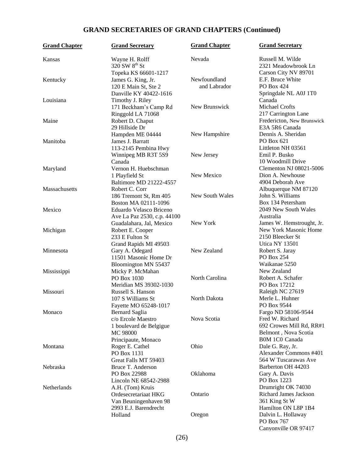# **GRAND SECRETARIES OF GRAND CHAPTERS (Continued)**

| <b>Grand Chapter</b> | <b>Grand Secretary</b>                                                                     | <b>Grand Chapter</b>         | <b>Grand Secretary</b>                                                                      |
|----------------------|--------------------------------------------------------------------------------------------|------------------------------|---------------------------------------------------------------------------------------------|
| Kansas               | Wayne H. Rolff<br>320 SW 8 <sup>th</sup> St                                                | Nevada                       | Russell M. Wilde<br>2321 Meadowbrook Ln                                                     |
| Kentucky             | Topeka KS 66601-1217<br>James G. King, Jr.<br>120 E Main St, Ste 2                         | Newfoundland<br>and Labrador | Carson City NV 89701<br>E.F. Bruce White<br>PO Box 424                                      |
| Louisiana            | Danville KY 40422-1616<br>Timothy J. Riley<br>171 Beckham's Camp Rd                        | New Brunswick                | Springdale NL A0J 1T0<br>Canada<br><b>Michael Crofts</b>                                    |
| Maine                | Ringgold LA 71068<br>Robert D. Chaput<br>29 Hillside Dr                                    |                              | 217 Carrington Lane<br>Fredericton, New Brunswick<br>E3A 5R6 Canada                         |
| Manitoba             | Hampden ME 04444<br>James J. Barratt<br>113-2145 Pembina Hwy                               | New Hampshire                | Dennis A. Sheridan<br>PO Box 621<br>Littleton NH 03561                                      |
| Maryland             | Winnipeg MB R3T 5S9<br>Canada<br>Vernon H. Huebschman<br>1 Playfield St                    | New Jersey<br>New Mexico     | Emil P. Busko<br>10 Woodmill Drive<br>Clementon NJ 08021-5006<br>Dion A. Newhouse           |
| Massachusetts        | Baltimore MD 21222-4557<br>Robert C. Corr<br>186 Tremont St, Rm 405                        | New South Wales              | 4904 Deborah Ave<br>Albuquerque NM 87120<br>John S. Williams                                |
| Mexico               | Boston MA 02111-1096<br>Eduardo Velasco Briceno<br>Ave La Paz 2530, c.p. 44100             |                              | Box 134 Petersham<br>2049 New South Wales<br>Australia                                      |
| Michigan             | Guadalahara, Jal, Mexico<br>Robert E. Cooper<br>233 E Fulton St                            | New York                     | James W. Hemstrought, Jr.<br>New York Masonic Home<br>2150 Bleecker St                      |
| Minnesota            | Grand Rapids MI 49503<br>Gary A. Odegard<br>11501 Masonic Home Dr                          | New Zealand                  | <b>Utica NY 13501</b><br>Robert S. Jaray<br>PO Box 254                                      |
| Mississippi          | Bloomington MN 55437<br>Micky P. McMahan<br>PO Box 1030                                    | North Carolina               | Waikanae 5250<br>New Zealand<br>Robert A. Schafer                                           |
| Missouri             | Meridian MS 39302-1030<br>Russell S. Hanson<br>107 S Williams St                           | North Dakota                 | PO Box 17212<br>Raleigh NC 27619<br>Merle L. Huhner                                         |
| Monaco               | Fayette MO 65248-1017<br>Bernard Saglia<br>c/o Ercole Maestro<br>1 boulevard de Belgigue   | Nova Scotia                  | PO Box 9544<br>Fargo ND 58106-9544<br>Fred W. Richard<br>692 Crowes Mill Rd, RR#1           |
| Montana              | MC 98000<br>Principaute, Monaco<br>Roger E. Cathel<br>PO Box 1131                          | Ohio                         | Belmont, Nova Scotia<br><b>BOM 1CO Canada</b><br>Dale G. Ray, Jr.<br>Alexander Commons #401 |
| Nebraska             | Great Falls MT 59403<br>Bruce T. Anderson<br>PO Box 22988                                  | Oklahoma                     | 564 W Tuscarawas Ave<br>Barberton OH 44203<br>Gary A. Davis                                 |
| Netherlands          | Lincoln NE 68542-2988<br>A.H. (Tom) Kruis<br>Ordesecretariaat HKG<br>Van Beuningenhaven 98 | Ontario                      | PO Box 1223<br>Drumright OK 74030<br>Richard James Jackson<br>361 King St W                 |
|                      | 2993 E.J. Barendrecht<br>Holland                                                           | Oregon                       | Hamilton ON L8P 1B4<br>Dalvin L. Hollaway<br>PO Box 767                                     |

Canyonville OR 97417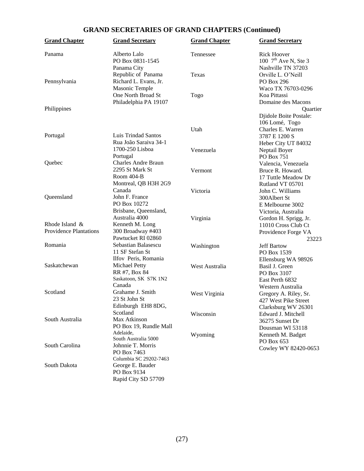# **GRAND SECRETARIES OF GRAND CHAPTERS (Continued)**

| <b>Grand Chapter</b>                            | <b>Grand Secretary</b>                    | <b>Grand Chapter</b> | <b>Grand Secretary</b>                          |
|-------------------------------------------------|-------------------------------------------|----------------------|-------------------------------------------------|
| Panama                                          | Alberto Lalo<br>PO Box 0831-1545          | Tennessee            | <b>Rick Hoover</b><br>100 $7^{th}$ Ave N, Ste 3 |
|                                                 | Panama City                               |                      | Nashville TN 37203                              |
|                                                 | Republic of Panama                        | Texas                | Orville L. O'Neill                              |
| Pennsylvania                                    | Richard L. Evans, Jr.                     |                      | PO Box 296                                      |
|                                                 | Masonic Temple<br>One North Broad St      |                      | Waco TX 76703-0296<br>Koa Pittassi              |
|                                                 | Philadelphia PA 19107                     | Togo                 | Domaine des Macons                              |
| Philippines                                     |                                           |                      | Quartier                                        |
|                                                 |                                           |                      | Djidole Boite Postale:                          |
|                                                 |                                           |                      | 106 Lomé, Togo                                  |
|                                                 |                                           | Utah                 | Charles E. Warren                               |
| Portugal                                        | Luis Trindad Santos                       |                      | 3787 E 1200 S                                   |
|                                                 | Rua João Saraiva 34-1                     |                      | Heber City UT 84032                             |
|                                                 | 1700-250 Lisboa                           | Venezuela            | Neptail Boyer                                   |
|                                                 | Portugal                                  |                      | PO Box 751                                      |
| Quebec                                          | <b>Charles Andre Braun</b>                |                      | Valencia, Venezuela                             |
|                                                 | 2295 St Mark St                           | Vermont              | Bruce R. Howard.                                |
|                                                 | Room 404-B                                |                      | 17 Tuttle Meadow Dr                             |
|                                                 | Montreal, QB H3H 2G9                      |                      | Rutland VT 05701                                |
|                                                 | Canada                                    | Victoria             | John C. Williams                                |
| Queensland                                      | John F. France                            |                      | 300Albert St                                    |
|                                                 | PO Box 10272                              |                      | E Melbourne 3002                                |
|                                                 | Brisbane, Queensland,                     |                      | Victoria, Australia                             |
|                                                 | Australia 4000                            | Virginia             | Gordon H. Sprigg, Jr.                           |
| Rhode Island &<br><b>Providence Plantations</b> | Kenneth M. Long                           |                      | 11010 Cross Club Ct                             |
|                                                 | 300 Broadway #403<br>Pawtucket RI 02860   |                      | Providence Forge VA                             |
| Romania                                         | Sebastian Balasescu                       |                      | 23223                                           |
|                                                 | 11 SF Stefan St                           | Washington           | <b>Jeff Bartow</b><br>PO Box 1539               |
|                                                 | Ilfov Peris, Romania                      |                      | Ellensburg WA 98926                             |
| Saskatchewan                                    | Michael Petty                             | West Australia       | Basil J. Green                                  |
|                                                 | RR #7, Box 84                             |                      | PO Box 3107                                     |
|                                                 | Saskatoon, SK S7K 1N2                     |                      | East Perth 6832                                 |
|                                                 | Canada                                    |                      | Western Australia                               |
| Scotland                                        | Grahame J. Smith                          | West Virginia        | Gregory A. Riley, Sr.                           |
|                                                 | 23 St John St                             |                      | 427 West Pike Street                            |
|                                                 | Edinburgh EH8 8DG,                        |                      | Clarksburg WV 26301                             |
|                                                 | Scotland                                  | Wisconsin            | Edward J. Mitchell                              |
| South Australia                                 | Max Atkinson                              |                      | 36275 Sunset Dr                                 |
|                                                 | PO Box 19, Rundle Mall                    |                      | Dousman WI 53118                                |
|                                                 | Adelaide,                                 | Wyoming              | Kenneth M. Badget                               |
| South Carolina                                  | South Australia 5000<br>Johnnie T. Morris |                      | PO Box 653                                      |
|                                                 | PO Box 7463                               |                      | Cowley WY 82420-0653                            |
|                                                 | Columbia SC 29202-7463                    |                      |                                                 |
| South Dakota                                    | George E. Bauder                          |                      |                                                 |
|                                                 | PO Box 9134                               |                      |                                                 |
|                                                 | Rapid City SD 57709                       |                      |                                                 |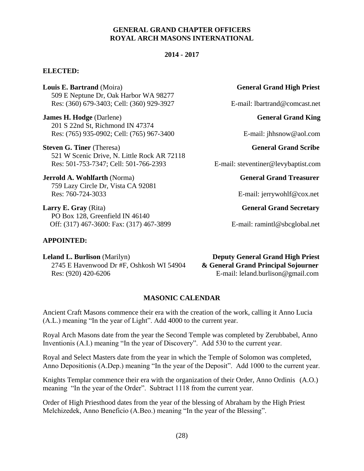#### **GENERAL GRAND CHAPTER OFFICERS ROYAL ARCH MASONS INTERNATIONAL**

#### **2014 - 2017**

#### **ELECTED:**

**Louis E. Bartrand** (Moira) **General Grand High Priest General Grand High Priest** 509 E Neptune Dr, Oak Harbor WA 98277 Res: (360) 679-3403; Cell: (360) 929-3927 E-mail: lbartrand@comcast.net

**James H. Hodge** (Darlene) **General Grand King** 201 S 22nd St, Richmond IN 47374 Res: (765) 935-0902; Cell: (765) 967-3400 E-mail: jhhsnow@aol.com

**Steven G. Tiner** (Theresa) General Grand Scribe 521 W Scenic Drive, N. Little Rock AR 72118 Res: 501-753-7347; Cell: 501-766-2393 E-mail: steventiner@levybaptist.com

**Jerrold A. Wohlfarth (Norma)** General Grand Treasurer 759 Lazy Circle Dr, Vista CA 92081 Res: 760-724-3033 E-mail: jerrywohlf@cox.net

**Larry E. Gray** (Rita) **General Grand Secretary** PO Box 128, Greenfield IN 46140 Off: (317) 467-3600: Fax: (317) 467-3899 E-mail: ramintl@sbcglobal.net

# **APPOINTED:**

**Leland L. Burlison** (Marilyn) **Deputy General Grand High Priest** 2745 E Havenwood Dr #F, Oshkosh WI 54904 **& General Grand Principal Sojourner** Res: (920) 420-6206 E-mail: leland.burlison@gmail.com

# **MASONIC CALENDAR**

Ancient Craft Masons commence their era with the creation of the work, calling it Anno Lucia (A.L.) meaning "In the year of Light". Add 4000 to the current year.

Royal Arch Masons date from the year the Second Temple was completed by Zerubbabel, Anno Inventionis (A.I.) meaning "In the year of Discovery". Add 530 to the current year.

Royal and Select Masters date from the year in which the Temple of Solomon was completed, Anno Depositionis (A.Dep.) meaning "In the year of the Deposit". Add 1000 to the current year.

Knights Templar commence their era with the organization of their Order, Anno Ordinis (A.O.) meaning "In the year of the Order". Subtract 1118 from the current year.

Order of High Priesthood dates from the year of the blessing of Abraham by the High Priest Melchizedek, Anno Beneficio (A.Beo.) meaning "In the year of the Blessing".